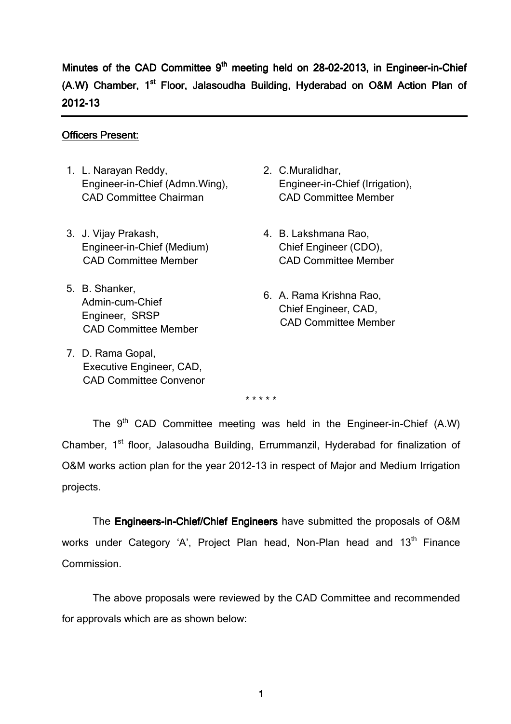Minutes of the CAD Committee 9<sup>th</sup> meeting held on 28-02-2013, in Engineer-in-Chief (A.W) Chamber, 1<sup>st</sup> Floor, Jalasoudha Building, Hyderabad on O&M Action Plan of 2012-13

#### Officers Present:

- 1. L. Narayan Reddy, Engineer-in-Chief (Admn.Wing), CAD Committee Chairman
- 3. J. Vijay Prakash, Engineer-in-Chief (Medium) CAD Committee Member
- 5. B. Shanker, Admin-cum-Chief Engineer, SRSP CAD Committee Member
- 7. D. Rama Gopal, Executive Engineer, CAD, CAD Committee Convenor
- 2. C.Muralidhar, Engineer-in-Chief (Irrigation), CAD Committee Member
- 4. B. Lakshmana Rao, Chief Engineer (CDO), CAD Committee Member
- 6. A. Rama Krishna Rao, Chief Engineer, CAD, CAD Committee Member

\* \* \* \* \*

The  $9<sup>th</sup>$  CAD Committee meeting was held in the Engineer-in-Chief (A.W) Chamber, 1<sup>st</sup> floor, Jalasoudha Building, Errummanzil, Hyderabad for finalization of O&M works action plan for the year 2012-13 in respect of Major and Medium Irrigation projects.

The **Engineers-in-Chief/Chief Engineers** have submitted the proposals of O&M works under Category 'A', Project Plan head, Non-Plan head and 13<sup>th</sup> Finance Commission.

The above proposals were reviewed by the CAD Committee and recommended for approvals which are as shown below: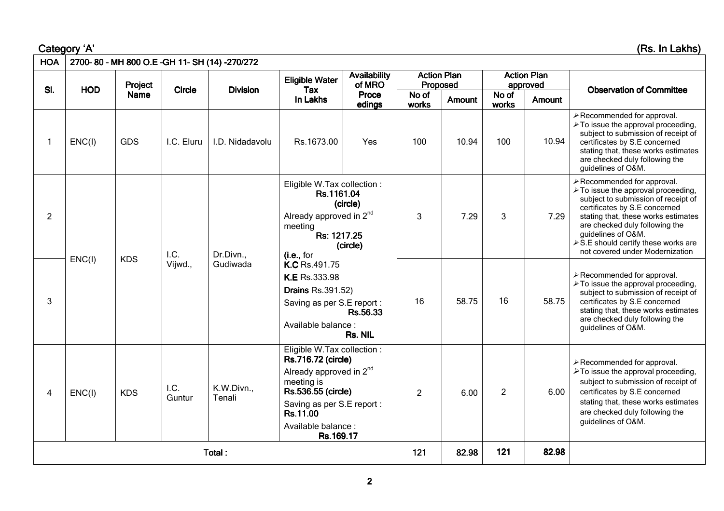Category 'A' 'A' (Rs. In Lakhs) (Rs. Lakhs)

| <b>HOA</b>     |            |             |                | 2700-80 - MH 800 O.E - GH 11- SH (14) -270/272 |                                                                                                                                                                                                                                                                                           |                               |                                |               |                |                                |                                                                                                                                                                                                                                                                                                                                     |  |
|----------------|------------|-------------|----------------|------------------------------------------------|-------------------------------------------------------------------------------------------------------------------------------------------------------------------------------------------------------------------------------------------------------------------------------------------|-------------------------------|--------------------------------|---------------|----------------|--------------------------------|-------------------------------------------------------------------------------------------------------------------------------------------------------------------------------------------------------------------------------------------------------------------------------------------------------------------------------------|--|
|                |            | Project     |                |                                                | <b>Eligible Water</b>                                                                                                                                                                                                                                                                     | <b>Availability</b><br>of MRO | <b>Action Plan</b><br>Proposed |               |                | <b>Action Plan</b><br>approved |                                                                                                                                                                                                                                                                                                                                     |  |
| SI.            | <b>HOD</b> | <b>Name</b> | <b>Circle</b>  | <b>Division</b>                                | Tax<br>In Lakhs                                                                                                                                                                                                                                                                           | Proce<br>edings               | No of<br>works                 | <b>Amount</b> | No of<br>works | Amount                         | <b>Observation of Committee</b>                                                                                                                                                                                                                                                                                                     |  |
|                | ENC(1)     | <b>GDS</b>  | I.C. Eluru     | I.D. Nidadavolu                                | Rs.1673.00                                                                                                                                                                                                                                                                                | Yes                           | 100                            | 10.94         | 100            | 10.94                          | $\triangleright$ Recommended for approval.<br>$\triangleright$ To issue the approval proceeding,<br>subject to submission of receipt of<br>certificates by S.E concerned<br>stating that, these works estimates<br>are checked duly following the<br>guidelines of O&M.                                                             |  |
| $\overline{2}$ |            |             | I.C.           | Dr.Divn.,                                      | Eligible W.Tax collection :<br>Rs.1161.04<br>(circle)<br>Already approved in 2 <sup>nd</sup><br>meeting<br>Rs: 1217.25<br>(circle)<br>(i.e., for<br>K.C Rs.491.75<br>K.E Rs.333.98<br><b>Drains Rs.391.52)</b><br>Saving as per S.E report :<br>Rs.56.33<br>Available balance:<br>Rs. NIL |                               | 3                              | 7.29          | 3              | 7.29                           | > Recommended for approval.<br>≻ To issue the approval proceeding,<br>subject to submission of receipt of<br>certificates by S.E concerned<br>stating that, these works estimates<br>are checked duly following the<br>guidelines of O&M.<br>$\triangleright$ S.E should certify these works are<br>not covered under Modernization |  |
| 3              | ENC(1)     | <b>KDS</b>  | Vijwd.,        | Gudiwada                                       |                                                                                                                                                                                                                                                                                           |                               | 16                             | 58.75         | 16             | 58.75                          | $\triangleright$ Recommended for approval.<br>$\triangleright$ To issue the approval proceeding,<br>subject to submission of receipt of<br>certificates by S.E concerned<br>stating that, these works estimates<br>are checked duly following the<br>guidelines of O&M.                                                             |  |
| 4              | ENC(1)     | <b>KDS</b>  | I.C.<br>Guntur | K.W.Divn.,<br>Tenali                           | Eligible W.Tax collection :<br>Rs.716.72 (circle)<br>Already approved in 2 <sup>nd</sup><br>meeting is<br>Rs.536.55 (circle)<br>Saving as per S.E report :<br>Rs.11.00<br>Available balance:<br>Rs.169.17                                                                                 |                               | $\overline{2}$                 | 6.00          | $\overline{2}$ | 6.00                           | $\triangleright$ Recommended for approval.<br>≻To issue the approval proceeding,<br>subject to submission of receipt of<br>certificates by S.E concerned<br>stating that, these works estimates<br>are checked duly following the<br>guidelines of O&M.                                                                             |  |
|                |            |             |                | Total:                                         |                                                                                                                                                                                                                                                                                           |                               | 121                            | 82.98         | 121            | 82.98                          |                                                                                                                                                                                                                                                                                                                                     |  |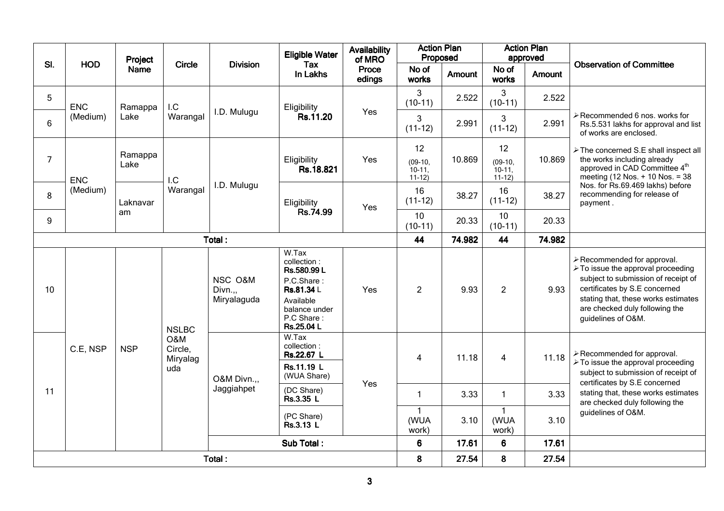|                |            | Project         |                                   |                                   | <b>Availability</b><br><b>Eligible Water</b><br><b>Division</b>                                                           |                           | <b>Action Plan</b><br>Proposed           |                 |                                          | <b>Action Plan</b><br>approved | <b>Observation of Committee</b>                                                                                                                                                                                                                        |  |
|----------------|------------|-----------------|-----------------------------------|-----------------------------------|---------------------------------------------------------------------------------------------------------------------------|---------------------------|------------------------------------------|-----------------|------------------------------------------|--------------------------------|--------------------------------------------------------------------------------------------------------------------------------------------------------------------------------------------------------------------------------------------------------|--|
| SI.            | <b>HOD</b> | <b>Name</b>     | Circle                            |                                   | Tax<br>In Lakhs                                                                                                           | of MRO<br>Proce<br>edings | No of<br>works                           | <b>Amount</b>   | No of<br>works                           | Amount                         |                                                                                                                                                                                                                                                        |  |
| 5              | <b>ENC</b> | Ramappa         | I.C                               |                                   | Eligibility                                                                                                               |                           | 3<br>$(10-11)$                           | 2.522           | 3<br>$(10-11)$                           | 2.522                          |                                                                                                                                                                                                                                                        |  |
| 6              | (Medium)   | Lake            | Warangal                          | I.D. Mulugu                       | Rs.11.20                                                                                                                  | Yes                       | 3<br>$(11-12)$                           | 2.991           | 3<br>$(11-12)$                           | 2.991                          | ≻Recommended 6 nos. works for<br>Rs.5.531 lakhs for approval and list<br>of works are enclosed.                                                                                                                                                        |  |
| $\overline{7}$ | <b>ENC</b> | Ramappa<br>Lake | I.C                               |                                   | Eligibility<br>Rs.18.821                                                                                                  | Yes                       | 12<br>$(09-10,$<br>$10-11$ ,<br>$11-12)$ | 10.869          | 12<br>$(09-10,$<br>$10-11$ ,<br>$11-12)$ | 10.869                         | > The concerned S.E shall inspect all<br>the works including already<br>approved in CAD Committee 4th<br>meeting (12 Nos. + 10 Nos. = 38                                                                                                               |  |
| 8              | (Medium)   | Laknavar        | Warangal                          | I.D. Mulugu                       | Eligibility                                                                                                               | Yes                       | 16<br>$(11-12)$                          | 38.27           | 16<br>$(11-12)$                          | 38.27                          | Nos. for Rs.69.469 lakhs) before<br>recommending for release of<br>payment.                                                                                                                                                                            |  |
| 9              |            | am              |                                   |                                   | Rs.74.99                                                                                                                  |                           | 10<br>$(10-11)$                          | 20.33           | 10<br>$(10-11)$                          | 20.33                          |                                                                                                                                                                                                                                                        |  |
| Total:         |            |                 |                                   |                                   |                                                                                                                           |                           | 44                                       | 74.982          | 44                                       | 74.982                         |                                                                                                                                                                                                                                                        |  |
| 10             |            |                 | <b>NSLBC</b>                      | NSC O&M<br>Divn.,,<br>Miryalaguda | W.Tax<br>collection:<br>Rs.580.99 L<br>P.C.Share:<br>Rs.81.34 L<br>Available<br>balance under<br>P.C Share:<br>Rs.25.04 L | Yes                       | $\overline{2}$                           | 9.93            | $\overline{2}$                           | 9.93                           | >Recommended for approval.<br>$\triangleright$ To issue the approval proceeding<br>subject to submission of receipt of<br>certificates by S.E concerned<br>stating that, these works estimates<br>are checked duly following the<br>guidelines of O&M. |  |
|                | C.E. NSP   | <b>NSP</b>      | O&M<br>Circle,<br>Miryalag<br>uda | O&M Divn.,,                       | W.Tax<br>collection:<br>Rs.22.67 L<br>Rs.11.19 L<br>(WUA Share)                                                           |                           | 4                                        | 11.18           | $\overline{\mathbf{4}}$                  | 11.18                          | >Recommended for approval.<br>≻ To issue the approval proceeding<br>subject to submission of receipt of<br>certificates by S.E concerned                                                                                                               |  |
| 11             |            |                 |                                   | Jaggiahpet                        | (DC Share)<br>Rs.3.35 L                                                                                                   | Yes                       | $\mathbf{1}$                             | 3.33            | $\mathbf{1}$                             | 3.33                           | stating that, these works estimates<br>are checked duly following the                                                                                                                                                                                  |  |
|                |            |                 |                                   |                                   | (PC Share)<br>Rs.3.13 L                                                                                                   |                           | (WUA<br>work)                            | 3.10            | $\mathbf{1}$<br>(WUA<br>work)            | 3.10                           | guidelines of O&M.                                                                                                                                                                                                                                     |  |
|                |            | Sub Total:      |                                   |                                   |                                                                                                                           | $6\phantom{1}$            | 17.61                                    | $6\phantom{1}6$ | 17.61                                    |                                |                                                                                                                                                                                                                                                        |  |
|                |            |                 |                                   | Total:                            |                                                                                                                           |                           | 8                                        | 27.54           | 8                                        | 27.54                          |                                                                                                                                                                                                                                                        |  |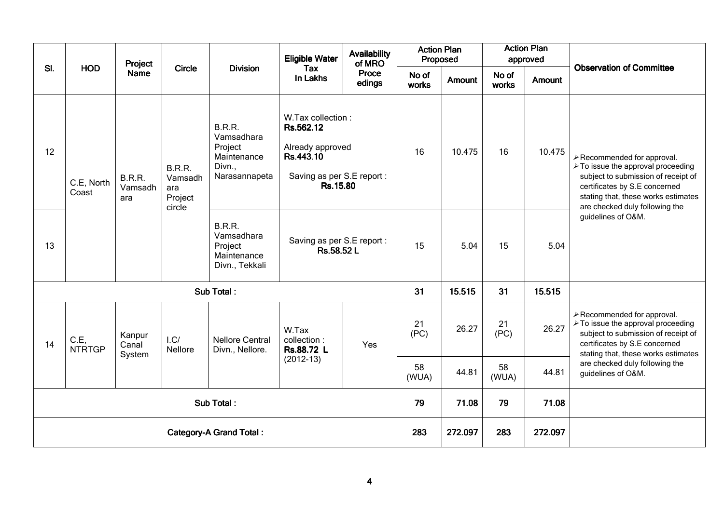|            |                                | Project                         |                                                      |                                                                                  | <b>Eligible Water</b>                                                                                     | <b>Availability</b><br>of MRO | <b>Action Plan</b><br>Proposed |        |                | <b>Action Plan</b><br>approved |                                                                                                                                                                                                                   |
|------------|--------------------------------|---------------------------------|------------------------------------------------------|----------------------------------------------------------------------------------|-----------------------------------------------------------------------------------------------------------|-------------------------------|--------------------------------|--------|----------------|--------------------------------|-------------------------------------------------------------------------------------------------------------------------------------------------------------------------------------------------------------------|
| SI.        | <b>HOD</b>                     | <b>Name</b>                     | <b>Circle</b>                                        | <b>Division</b>                                                                  | Tax<br>In Lakhs                                                                                           | Proce<br>edings               | No of<br>works                 | Amount | No of<br>works | Amount                         | <b>Observation of Committee</b>                                                                                                                                                                                   |
| 12         | C.E, North<br>Coast            | <b>B.R.R.</b><br>Vamsadh<br>ara | <b>B.R.R.</b><br>Vamsadh<br>ara<br>Project<br>circle | <b>B.R.R.</b><br>Vamsadhara<br>Project<br>Maintenance<br>Divn.,<br>Narasannapeta | W.Tax collection:<br>Rs.562.12<br>Already approved<br>Rs.443.10<br>Saving as per S.E report :<br>Rs.15.80 |                               | 16                             | 10.475 | 16             | 10.475                         | >Recommended for approval.<br>≻ To issue the approval proceeding<br>subject to submission of receipt of<br>certificates by S.E concerned<br>stating that, these works estimates<br>are checked duly following the |
| 13         |                                |                                 |                                                      | <b>B.R.R.</b><br>Vamsadhara<br>Project<br>Maintenance<br>Divn., Tekkali          | Saving as per S.E report :<br>Rs.58.52 L                                                                  |                               | 15                             | 5.04   | 15             | 5.04                           | guidelines of O&M.                                                                                                                                                                                                |
|            |                                |                                 |                                                      | Sub Total:                                                                       |                                                                                                           |                               | 31                             | 15.515 | 31             | 15.515                         |                                                                                                                                                                                                                   |
| 14         | C.E,<br><b>NTRTGP</b>          | Kanpur<br>Canal<br>System       | 1.C/<br>Nellore                                      | <b>Nellore Central</b><br>Divn., Nellore.                                        | W.Tax<br>collection:<br>Rs.88.72 L                                                                        | Yes                           | 21<br>(PC)                     | 26.27  | 21<br>(PC)     | 26.27                          | $\triangleright$ Recommended for approval.<br>> To issue the approval proceeding<br>subject to submission of receipt of<br>certificates by S.E concerned<br>stating that, these works estimates                   |
|            |                                |                                 |                                                      |                                                                                  | $(2012-13)$                                                                                               |                               | 58<br>(WUA)                    | 44.81  | 58<br>(WUA)    | 44.81                          | are checked duly following the<br>guidelines of O&M.                                                                                                                                                              |
| Sub Total: |                                |                                 |                                                      |                                                                                  |                                                                                                           |                               | 79                             | 71.08  | 79             | 71.08                          |                                                                                                                                                                                                                   |
|            | <b>Category-A Grand Total:</b> |                                 |                                                      |                                                                                  |                                                                                                           |                               |                                |        | 283            | 272.097                        |                                                                                                                                                                                                                   |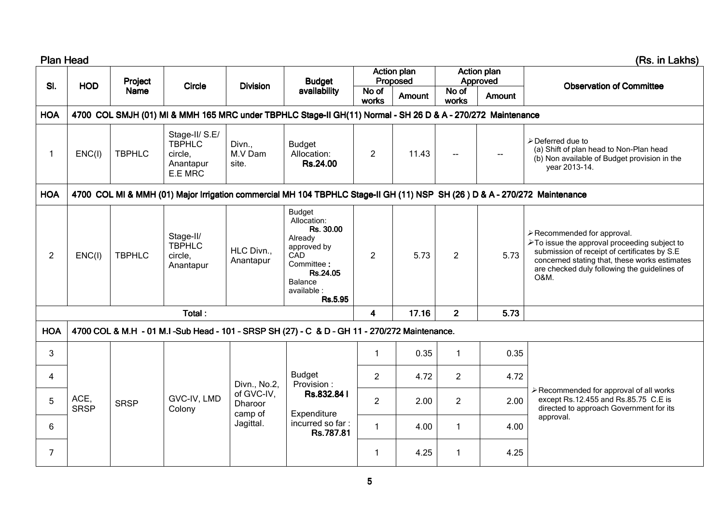| <b>Plan Head</b> |                                                                                                                           |               |                                                                    |                            |                                                                                                                                           |                |                                |                |                                | (Rs. in Lakhs)                                                                                                                                                                                                                                       |
|------------------|---------------------------------------------------------------------------------------------------------------------------|---------------|--------------------------------------------------------------------|----------------------------|-------------------------------------------------------------------------------------------------------------------------------------------|----------------|--------------------------------|----------------|--------------------------------|------------------------------------------------------------------------------------------------------------------------------------------------------------------------------------------------------------------------------------------------------|
|                  |                                                                                                                           | Project       |                                                                    |                            | <b>Budget</b>                                                                                                                             |                | <b>Action plan</b><br>Proposed |                | <b>Action plan</b><br>Approved |                                                                                                                                                                                                                                                      |
| SI.              | <b>HOD</b>                                                                                                                | <b>Name</b>   | <b>Circle</b>                                                      | <b>Division</b>            | availability                                                                                                                              | No of<br>works | Amount                         | No of<br>works | Amount                         | <b>Observation of Committee</b>                                                                                                                                                                                                                      |
| <b>HOA</b>       |                                                                                                                           |               |                                                                    |                            | 4700 COL SMJH (01) MI & MMH 165 MRC under TBPHLC Stage-II GH(11) Normal - SH 26 D & A - 270/272 Maintenance                               |                |                                |                |                                |                                                                                                                                                                                                                                                      |
| 1                | ENC(1)                                                                                                                    | <b>TBPHLC</b> | Stage-II/ S.E/<br><b>TBPHLC</b><br>circle,<br>Anantapur<br>E.E MRC | Divn.,<br>M.V Dam<br>site. | <b>Budget</b><br>Allocation:<br>Rs.24.00                                                                                                  | $\overline{2}$ | 11.43                          | $\overline{a}$ |                                | $\triangleright$ Deferred due to<br>(a) Shift of plan head to Non-Plan head<br>(b) Non available of Budget provision in the<br>year 2013-14.                                                                                                         |
| <b>HOA</b>       | 4700 COL MI & MMH (01) Major Irrigation commercial MH 104 TBPHLC Stage-II GH (11) NSP SH (26) D & A - 270/272 Maintenance |               |                                                                    |                            |                                                                                                                                           |                |                                |                |                                |                                                                                                                                                                                                                                                      |
| 2                | ENC(1)                                                                                                                    | <b>TBPHLC</b> | Stage-II/<br><b>TBPHLC</b><br>circle,<br>Anantapur                 | HLC Divn.,<br>Anantapur    | <b>Budget</b><br>Allocation:<br>Rs. 30.00<br>Already<br>approved by<br>CAD<br>Committee:<br>Rs.24.05<br>Balance<br>available :<br>Rs.5.95 | $\overline{2}$ | 5.73                           | $\overline{2}$ | 5.73                           | >Recommended for approval.<br>$\triangleright$ To issue the approval proceeding subject to<br>submission of receipt of certificates by S.E.<br>concerned stating that, these works estimates<br>are checked duly following the guidelines of<br>O&M. |
|                  |                                                                                                                           |               | Total:                                                             |                            |                                                                                                                                           | 4              | 17.16                          | 2 <sup>1</sup> | 5.73                           |                                                                                                                                                                                                                                                      |
| <b>HOA</b>       |                                                                                                                           |               |                                                                    |                            | 4700 COL & M.H - 01 M.I -Sub Head - 101 - SRSP SH (27) - C & D - GH 11 - 270/272 Maintenance.                                             |                |                                |                |                                |                                                                                                                                                                                                                                                      |
| 3                |                                                                                                                           |               |                                                                    |                            |                                                                                                                                           | $\mathbf{1}$   | 0.35                           | 1              | 0.35                           |                                                                                                                                                                                                                                                      |
| 4                |                                                                                                                           |               |                                                                    | Divn., No.2,               | <b>Budget</b><br>Provision:                                                                                                               | $\overline{2}$ | 4.72                           | $\overline{2}$ | 4.72                           |                                                                                                                                                                                                                                                      |
| 5                | ACE,<br><b>SRSP</b>                                                                                                       | <b>SRSP</b>   | GVC-IV, LMD<br>Colony                                              | of GVC-IV,<br>Dharoor      | Rs.832.841                                                                                                                                | $\overline{2}$ | 2.00                           | $\overline{2}$ | 2.00                           | ≻ Recommended for approval of all works<br>except Rs.12.455 and Rs.85.75 C.E is<br>directed to approach Government for its                                                                                                                           |
| 6                |                                                                                                                           |               |                                                                    | camp of<br>Jagittal.       | Expenditure<br>incurred so far:<br>Rs.787.81                                                                                              | $\mathbf{1}$   | 4.00                           | 1              | 4.00                           | approval.                                                                                                                                                                                                                                            |
| $\overline{7}$   |                                                                                                                           |               |                                                                    |                            |                                                                                                                                           | $\mathbf 1$    | 4.25                           | 1              | 4.25                           |                                                                                                                                                                                                                                                      |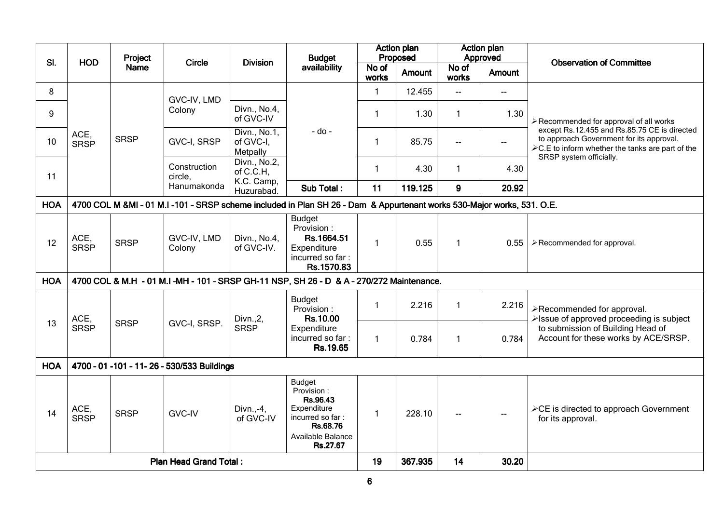|            | Project                                                                                                                |             | <b>Budget</b>                                 |                                         | <b>Action plan</b><br>Proposed                                                                                          |                | <b>Action plan</b><br>Approved |                |                |                                                                                                                                                      |
|------------|------------------------------------------------------------------------------------------------------------------------|-------------|-----------------------------------------------|-----------------------------------------|-------------------------------------------------------------------------------------------------------------------------|----------------|--------------------------------|----------------|----------------|------------------------------------------------------------------------------------------------------------------------------------------------------|
| SI.        | <b>HOD</b>                                                                                                             | <b>Name</b> | <b>Circle</b>                                 | <b>Division</b>                         | availability                                                                                                            | No of<br>works | Amount                         | No of<br>works | <b>Amount</b>  | <b>Observation of Committee</b>                                                                                                                      |
| 8          |                                                                                                                        |             | GVC-IV, LMD                                   |                                         |                                                                                                                         | 1.             | 12.455                         | шü.            | $\overline{a}$ |                                                                                                                                                      |
| 9          |                                                                                                                        |             | Colony                                        | Divn., No.4,<br>of GVC-IV               |                                                                                                                         | 1              | 1.30                           | $\mathbf{1}$   | 1.30           | ≻ Recommended for approval of all works                                                                                                              |
| 10         | ACE,<br><b>SRSP</b>                                                                                                    | <b>SRSP</b> | GVC-I, SRSP                                   | Divn., No.1,<br>of GVC-I,<br>Metpally   | - do -                                                                                                                  | 1              | 85.75                          | $- -$          | $\mathbf{u}$   | except Rs.12.455 and Rs.85.75 CE is directed<br>to approach Government for its approval.<br>$\angle$ C.E to inform whether the tanks are part of the |
| 11         |                                                                                                                        |             | Construction<br>circle.                       | Divn., No.2,<br>of C.C.H,<br>K.C. Camp, |                                                                                                                         | 1              | 4.30                           | $\mathbf{1}$   | 4.30           | SRSP system officially.                                                                                                                              |
|            |                                                                                                                        |             | Hanumakonda                                   | Huzurabad.                              | Sub Total:                                                                                                              | 11             | 119.125                        | 9              | 20.92          |                                                                                                                                                      |
| <b>HOA</b> | 4700 COL M &MI - 01 M.I -101 - SRSP scheme included in Plan SH 26 - Dam & Appurtenant works 530-Major works, 531. O.E. |             |                                               |                                         |                                                                                                                         |                |                                |                |                |                                                                                                                                                      |
| 12         | ACE,<br><b>SRSP</b>                                                                                                    | <b>SRSP</b> | GVC-IV, LMD<br>Colony                         | Divn., No.4,<br>of GVC-IV.              | <b>Budget</b><br>Provision:<br>Rs.1664.51<br>Expenditure<br>incurred so far:<br>Rs.1570.83                              | 1              | 0.55                           | $\mathbf{1}$   | 0.55           | $\triangleright$ Recommended for approval.                                                                                                           |
| <b>HOA</b> |                                                                                                                        |             |                                               |                                         | 4700 COL & M.H - 01 M.I-MH - 101 - SRSP GH-11 NSP, SH 26 - D & A - 270/272 Maintenance.                                 |                |                                |                |                |                                                                                                                                                      |
|            | ACE,                                                                                                                   |             |                                               | Divn., 2,                               | <b>Budget</b><br>Provision:<br>Rs.10.00                                                                                 | 1              | 2.216                          | $\mathbf{1}$   | 2.216          | >Recommended for approval.<br>>Issue of approved proceeding is subject                                                                               |
| 13         | <b>SRSP</b>                                                                                                            | <b>SRSP</b> | GVC-I, SRSP.                                  | <b>SRSP</b>                             | Expenditure<br>incurred so far:<br>Rs.19.65                                                                             | 1              | 0.784                          | $\mathbf{1}$   | 0.784          | to submission of Building Head of<br>Account for these works by ACE/SRSP.                                                                            |
| <b>HOA</b> |                                                                                                                        |             | 4700 - 01 - 101 - 11 - 26 - 530/533 Buildings |                                         |                                                                                                                         |                |                                |                |                |                                                                                                                                                      |
| 14         | ACE,<br><b>SRSP</b>                                                                                                    | <b>SRSP</b> | <b>GVC-IV</b>                                 | Divn.,-4,<br>of GVC-IV                  | <b>Budget</b><br>Provision:<br>Rs.96.43<br>Expenditure<br>incurred so far:<br>Rs.68.76<br>Available Balance<br>Rs.27.67 | 1              | 228.10                         |                |                | ≻CE is directed to approach Government<br>for its approval.                                                                                          |
|            |                                                                                                                        |             | <b>Plan Head Grand Total:</b>                 |                                         |                                                                                                                         | 19             | 367.935                        | 14             | 30.20          |                                                                                                                                                      |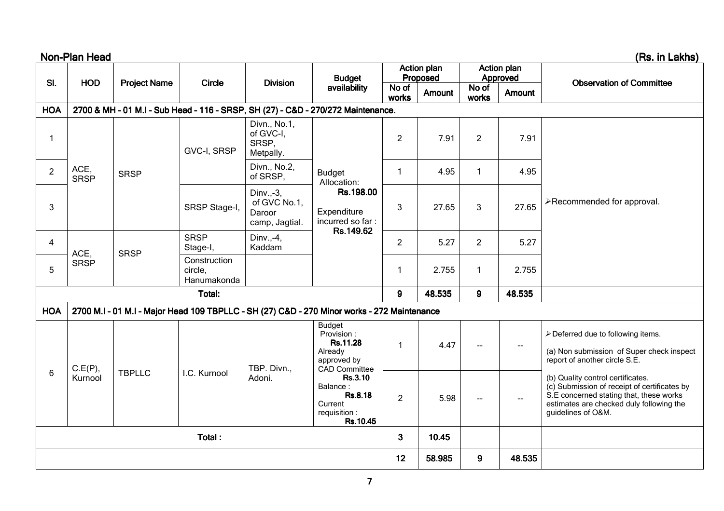|                | Non-Plan Head       |                                                                        |                                              |                                                 |                                                                                             |                |                                |                            |                                | (Rs. in Lakhs)                                                                                                                                                                                 |
|----------------|---------------------|------------------------------------------------------------------------|----------------------------------------------|-------------------------------------------------|---------------------------------------------------------------------------------------------|----------------|--------------------------------|----------------------------|--------------------------------|------------------------------------------------------------------------------------------------------------------------------------------------------------------------------------------------|
| SI.            | <b>HOD</b>          | <b>Project Name</b>                                                    | <b>Circle</b>                                | <b>Division</b>                                 | <b>Budget</b>                                                                               |                | <b>Action plan</b><br>Proposed |                            | <b>Action plan</b><br>Approved | <b>Observation of Committee</b>                                                                                                                                                                |
|                |                     |                                                                        |                                              |                                                 | availability                                                                                | No of<br>works | Amount                         | No of<br>works             | <b>Amount</b>                  |                                                                                                                                                                                                |
| <b>HOA</b>     |                     |                                                                        |                                              |                                                 | 2700 & MH - 01 M.I - Sub Head - 116 - SRSP, SH (27) - C&D - 270/272 Maintenance.            |                |                                |                            |                                |                                                                                                                                                                                                |
| $\mathbf{1}$   |                     |                                                                        | GVC-I, SRSP                                  | Divn., No.1,<br>of GVC-I,<br>SRSP,<br>Metpally. |                                                                                             | $\overline{2}$ | 7.91                           | $\overline{2}$             | 7.91                           |                                                                                                                                                                                                |
| $\overline{2}$ | ACE,<br><b>SRSP</b> | <b>SRSP</b>                                                            |                                              | Divn., No.2,<br>of SRSP,                        | <b>Budget</b><br>Allocation:                                                                | $\mathbf{1}$   | 4.95                           | $\mathbf{1}$               | 4.95                           |                                                                                                                                                                                                |
| 3              |                     | Dinv.,-3,<br>of GVC No.1,<br>SRSP Stage-I,<br>Daroor<br>camp, Jagtial. | Rs.198.00<br>Expenditure<br>incurred so far: | 3                                               | 27.65                                                                                       | 3              | 27.65                          | >Recommended for approval. |                                |                                                                                                                                                                                                |
| 4              | ACE,                | <b>SRSP</b>                                                            | <b>SRSP</b><br>Stage-I,                      | Dinv.,-4,<br>Kaddam                             | Rs.149.62                                                                                   | $\overline{2}$ | 5.27                           | 2                          | 5.27                           |                                                                                                                                                                                                |
| 5              | <b>SRSP</b>         |                                                                        | Construction<br>circle,<br>Hanumakonda       |                                                 |                                                                                             | $\mathbf{1}$   | 2.755                          | $\mathbf{1}$               | 2.755                          |                                                                                                                                                                                                |
|                |                     |                                                                        | Total:                                       |                                                 |                                                                                             | 9              | 48.535                         | $\mathbf{9}$               | 48.535                         |                                                                                                                                                                                                |
| <b>HOA</b>     |                     |                                                                        |                                              |                                                 | 2700 M.I - 01 M.I - Major Head 109 TBPLLC - SH (27) C&D - 270 Minor works - 272 Maintenance |                |                                |                            |                                |                                                                                                                                                                                                |
|                | C.E(P),             |                                                                        |                                              | TBP. Divn.,                                     | Budget<br>Provision:<br>Rs.11.28<br>Already<br>approved by<br>CAD Committee                 | $\mathbf{1}$   | 4.47                           | $\overline{a}$             | $\overline{a}$                 | ≻ Deferred due to following items.<br>(a) Non submission of Super check inspect<br>report of another circle S.E.                                                                               |
| 6              | Kurnool             | <b>TBPLLC</b>                                                          | I.C. Kurnool                                 |                                                 | Adoni.<br>Rs.3.10<br>Balance:<br>Rs.8.18<br>Current<br>requisition :<br>Rs.10.45            |                | 5.98                           | $\overline{\phantom{a}}$   | --                             | (b) Quality control certificates.<br>(c) Submission of receipt of certificates by<br>S.E concerned stating that, these works<br>estimates are checked duly following the<br>guidelines of O&M. |
|                |                     |                                                                        | Total:                                       |                                                 |                                                                                             | $\mathbf{3}$   | 10.45                          |                            |                                |                                                                                                                                                                                                |
|                |                     |                                                                        |                                              |                                                 |                                                                                             | 12             | 58.985                         | 9                          | 48.535                         |                                                                                                                                                                                                |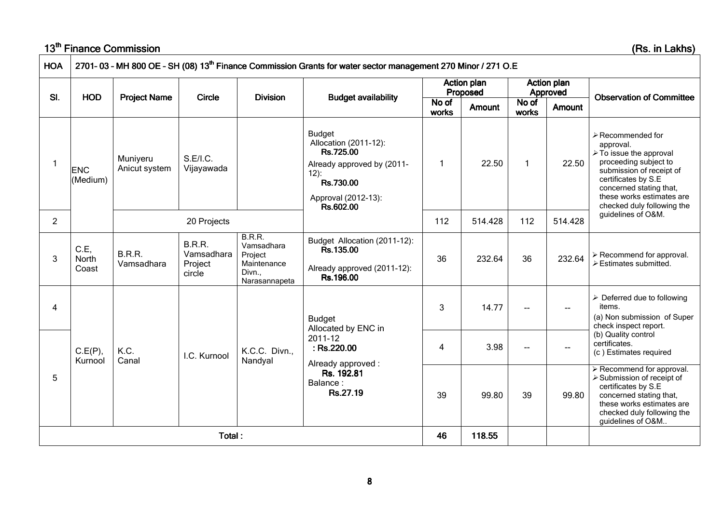## <u>13<sup>th</sup> Finance Commission</u>

Commission (Rs. in Lakhs)

| <b>HOA</b>     |                        |                             |                                           |                                                                         | 2701-03 - MH 800 OE - SH (08) 13 <sup>th</sup> Finance Commission Grants for water sector management 270 Minor / 271 O.E                      |                |                                |                |                                |                                                                                                                                                                                                                                            |
|----------------|------------------------|-----------------------------|-------------------------------------------|-------------------------------------------------------------------------|-----------------------------------------------------------------------------------------------------------------------------------------------|----------------|--------------------------------|----------------|--------------------------------|--------------------------------------------------------------------------------------------------------------------------------------------------------------------------------------------------------------------------------------------|
|                |                        |                             |                                           |                                                                         |                                                                                                                                               |                | <b>Action plan</b><br>Proposed |                | <b>Action plan</b><br>Approved |                                                                                                                                                                                                                                            |
| SI.            | <b>HOD</b>             | <b>Project Name</b>         | <b>Circle</b>                             | <b>Division</b>                                                         | <b>Budget availability</b>                                                                                                                    | No of<br>works | Amount                         | No of<br>works | <b>Amount</b>                  | <b>Observation of Committee</b>                                                                                                                                                                                                            |
|                | <b>ENC</b><br>(Medium) | Muniyeru<br>Anicut system   | S.E/I.C.<br>Vijayawada                    |                                                                         | <b>Budget</b><br>Allocation (2011-12):<br>Rs.725.00<br>Already approved by (2011-<br>$12)$ :<br>Rs.730.00<br>Approval (2012-13):<br>Rs.602.00 | $\mathbf{1}$   | 22.50                          | $\mathbf{1}$   | 22.50                          | $\triangleright$ Recommended for<br>approval.<br>≻ To issue the approval<br>proceeding subject to<br>submission of receipt of<br>certificates by S.E<br>concerned stating that,<br>these works estimates are<br>checked duly following the |
| $\overline{2}$ |                        |                             | 20 Projects                               |                                                                         |                                                                                                                                               | 112            | 514.428                        | 112            | 514.428                        | guidelines of O&M.                                                                                                                                                                                                                         |
| 3              | C.E,<br>North<br>Coast | <b>B.R.R.</b><br>Vamsadhara | B.R.R.<br>Vamsadhara<br>Project<br>circle | B.R.R.<br>Vamsadhara<br>Project<br>Maintenance<br>Divn<br>Narasannapeta | Budget Allocation (2011-12):<br>Rs.135.00<br>Already approved (2011-12):<br>Rs.196.00                                                         | 36             | 232.64                         | 36             | 232.64                         | $\triangleright$ Recommend for approval.<br>$\triangleright$ Estimates submitted.                                                                                                                                                          |
| 4              |                        |                             |                                           |                                                                         | <b>Budget</b><br>Allocated by ENC in                                                                                                          | 3              | 14.77                          | ⊷              | $\overline{\phantom{a}}$       | $\triangleright$ Deferred due to following<br>items.<br>(a) Non submission of Super<br>check inspect report.                                                                                                                               |
|                | C.E(P),<br>Kurnool     | K.C.<br>Canal               | I.C. Kurnool                              | K.C.C. Divn.,<br>Nandyal                                                | 2011-12<br>: Rs.220.00<br>Already approved:                                                                                                   | 4              | 3.98                           |                |                                | (b) Quality control<br>certificates.<br>(c) Estimates required                                                                                                                                                                             |
| 5              |                        |                             |                                           |                                                                         | Rs. 192.81<br>Balance:<br>Rs.27.19                                                                                                            | 39             | 99.80                          | 39             | 99.80                          | > Recommend for approval.<br>> Submission of receipt of<br>certificates by S.E<br>concerned stating that,<br>these works estimates are<br>checked duly following the<br>guidelines of O&M                                                  |
|                |                        |                             | Total:                                    |                                                                         |                                                                                                                                               | 46             | 118.55                         |                |                                |                                                                                                                                                                                                                                            |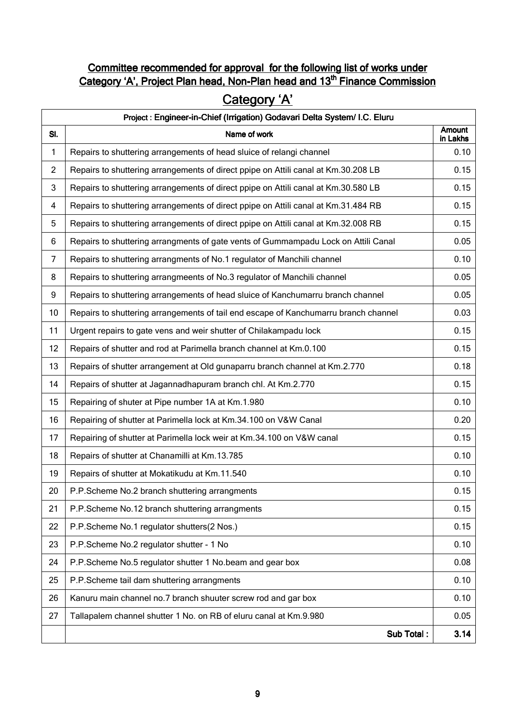### Committee recommended for approval for the following list of works under Category 'A', Project Plan head, Non-Plan head and 13<sup>th</sup> Finance Commission

# Category 'A'

|                | Project : Engineer-in-Chief (Irrigation) Godavari Delta System/ I.C. Eluru          |                           |
|----------------|-------------------------------------------------------------------------------------|---------------------------|
| SI.            | Name of work                                                                        | <b>Amount</b><br>in Lakhs |
| 1              | Repairs to shuttering arrangements of head sluice of relangi channel                | 0.10                      |
| $\overline{c}$ | Repairs to shuttering arrangements of direct ppipe on Attili canal at Km.30.208 LB  | 0.15                      |
| 3              | Repairs to shuttering arrangements of direct ppipe on Attili canal at Km.30.580 LB  | 0.15                      |
| $\overline{4}$ | Repairs to shuttering arrangements of direct ppipe on Attili canal at Km.31.484 RB  | 0.15                      |
| 5              | Repairs to shuttering arrangements of direct ppipe on Attili canal at Km.32.008 RB  | 0.15                      |
| 6              | Repairs to shuttering arrangments of gate vents of Gummampadu Lock on Attili Canal  | 0.05                      |
| $\overline{7}$ | Repairs to shuttering arrangments of No.1 regulator of Manchili channel             | 0.10                      |
| 8              | Repairs to shuttering arrangmeents of No.3 regulator of Manchili channel            | 0.05                      |
| 9              | Repairs to shuttering arrangements of head sluice of Kanchumarru branch channel     | 0.05                      |
| 10             | Repairs to shuttering arrangements of tail end escape of Kanchumarru branch channel | 0.03                      |
| 11             | Urgent repairs to gate vens and weir shutter of Chilakampadu lock                   | 0.15                      |
| 12             | Repairs of shutter and rod at Parimella branch channel at Km.0.100                  | 0.15                      |
| 13             | Repairs of shutter arrangement at Old gunaparru branch channel at Km.2.770          | 0.18                      |
| 14             | Repairs of shutter at Jagannadhapuram branch chl. At Km.2.770                       | 0.15                      |
| 15             | Repairing of shuter at Pipe number 1A at Km.1.980                                   | 0.10                      |
| 16             | Repairing of shutter at Parimella lock at Km.34.100 on V&W Canal                    | 0.20                      |
| 17             | Repairing of shutter at Parimella lock weir at Km.34.100 on V&W canal               | 0.15                      |
| 18             | Repairs of shutter at Chanamilli at Km.13.785                                       | 0.10                      |
| 19             | Repairs of shutter at Mokatikudu at Km.11.540                                       | 0.10                      |
| 20             | P.P.Scheme No.2 branch shuttering arrangments                                       | 0.15                      |
| 21             | P.P.Scheme No.12 branch shuttering arrangments                                      | 0.15                      |
| 22             | P.P.Scheme No.1 regulator shutters(2 Nos.)                                          | 0.15                      |
| 23             | P.P.Scheme No.2 regulator shutter - 1 No                                            | 0.10                      |
| 24             | P.P.Scheme No.5 regulator shutter 1 No.beam and gear box                            | 0.08                      |
| 25             | P.P.Scheme tail dam shuttering arrangments                                          | 0.10                      |
| 26             | Kanuru main channel no.7 branch shuuter screw rod and gar box                       | 0.10                      |
| 27             | Tallapalem channel shutter 1 No. on RB of eluru canal at Km.9.980                   | 0.05                      |
|                | Sub Total:                                                                          | 3.14                      |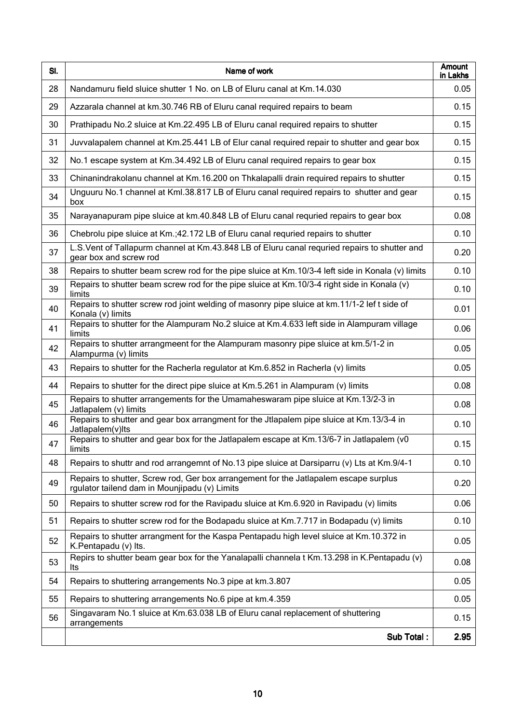| SI. | Name of work                                                                                                                          | Amount<br>in Lakhs |
|-----|---------------------------------------------------------------------------------------------------------------------------------------|--------------------|
| 28  | Nandamuru field sluice shutter 1 No. on LB of Eluru canal at Km. 14.030                                                               | 0.05               |
| 29  | Azzarala channel at km.30.746 RB of Eluru canal required repairs to beam                                                              | 0.15               |
| 30  | Prathipadu No.2 sluice at Km.22.495 LB of Eluru canal required repairs to shutter                                                     | 0.15               |
| 31  | Juvvalapalem channel at Km.25.441 LB of Elur canal required repair to shutter and gear box                                            | 0.15               |
| 32  | No.1 escape system at Km.34.492 LB of Eluru canal required repairs to gear box                                                        | 0.15               |
| 33  | Chinanindrakolanu channel at Km.16.200 on Thkalapalli drain required repairs to shutter                                               | 0.15               |
| 34  | Unguuru No.1 channel at Kml.38.817 LB of Eluru canal required repairs to shutter and gear<br>box                                      | 0.15               |
| 35  | Narayanapuram pipe sluice at km.40.848 LB of Eluru canal requried repairs to gear box                                                 | 0.08               |
| 36  | Chebrolu pipe sluice at Km.;42.172 LB of Eluru canal requried repairs to shutter                                                      | 0.10               |
| 37  | L.S. Vent of Tallapurm channel at Km.43.848 LB of Eluru canal requried repairs to shutter and<br>gear box and screw rod               | 0.20               |
| 38  | Repairs to shutter beam screw rod for the pipe sluice at Km. 10/3-4 left side in Konala (v) limits                                    | 0.10               |
| 39  | Repairs to shutter beam screw rod for the pipe sluice at Km.10/3-4 right side in Konala (v)<br>limits                                 | 0.10               |
| 40  | Repairs to shutter screw rod joint welding of masonry pipe sluice at km.11/1-2 lef t side of<br>Konala (v) limits                     | 0.01               |
| 41  | Repairs to shutter for the Alampuram No.2 sluice at Km.4.633 left side in Alampuram village<br>limits                                 | 0.06               |
| 42  | Repairs to shutter arrangmeent for the Alampuram masonry pipe sluice at km.5/1-2 in<br>Alampurma (v) limits                           | 0.05               |
| 43  | Repairs to shutter for the Racherla regulator at Km.6.852 in Racherla (v) limits                                                      | 0.05               |
| 44  | Repairs to shutter for the direct pipe sluice at Km.5.261 in Alampuram (v) limits                                                     | 0.08               |
| 45  | Repairs to shutter arrangements for the Umamaheswaram pipe sluice at Km.13/2-3 in<br>Jatlapalem (v) limits                            | 0.08               |
| 46  | Repairs to shutter and gear box arrangment for the Jtlapalem pipe sluice at Km.13/3-4 in<br>Jatlapalem(v)lts                          | 0.10               |
| 47  | Repairs to shutter and gear box for the Jatlapalem escape at Km.13/6-7 in Jatlapalem (v0<br>limits                                    | 0.15               |
| 48  | Repairs to shuttr and rod arrangemnt of No.13 pipe sluice at Darsiparru (v) Lts at Km.9/4-1                                           | 0.10               |
| 49  | Repairs to shutter, Screw rod, Ger box arrangement for the Jatlapalem escape surplus<br>rgulator tailend dam in Mounjipadu (v) Limits | 0.20               |
| 50  | Repairs to shutter screw rod for the Ravipadu sluice at Km.6.920 in Ravipadu (v) limits                                               | 0.06               |
| 51  | Repairs to shutter screw rod for the Bodapadu sluice at Km.7.717 in Bodapadu (v) limits                                               | 0.10               |
| 52  | Repairs to shutter arrangment for the Kaspa Pentapadu high level sluice at Km.10.372 in<br>K.Pentapadu (v) Its.                       | 0.05               |
| 53  | Repirs to shutter beam gear box for the Yanalapalli channela t Km.13.298 in K.Pentapadu (v)<br>Its                                    | 0.08               |
| 54  | Repairs to shuttering arrangements No.3 pipe at km.3.807                                                                              | 0.05               |
| 55  | Repairs to shuttering arrangements No.6 pipe at km.4.359                                                                              | 0.05               |
| 56  | Singavaram No.1 sluice at Km.63.038 LB of Eluru canal replacement of shuttering<br>arrangements                                       | 0.15               |
|     | Sub Total:                                                                                                                            | 2.95               |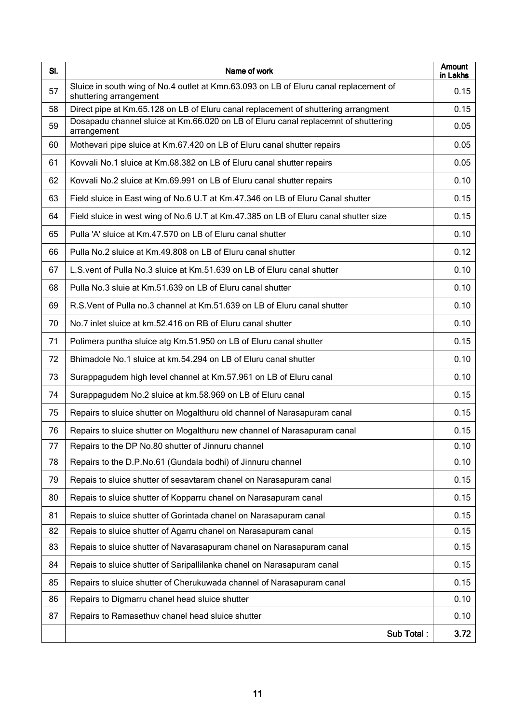| SI. | Name of work                                                                                                    | <b>Amount</b><br>in Lakhs |
|-----|-----------------------------------------------------------------------------------------------------------------|---------------------------|
| 57  | Sluice in south wing of No.4 outlet at Kmn.63.093 on LB of Eluru canal replacement of<br>shuttering arrangement | 0.15                      |
| 58  | Direct pipe at Km.65.128 on LB of Eluru canal replacement of shuttering arrangment                              | 0.15                      |
| 59  | Dosapadu channel sluice at Km.66.020 on LB of Eluru canal replacemnt of shuttering<br>arrangement               | 0.05                      |
| 60  | Mothevari pipe sluice at Km.67.420 on LB of Eluru canal shutter repairs                                         | 0.05                      |
| 61  | Kovvali No.1 sluice at Km.68.382 on LB of Eluru canal shutter repairs                                           | 0.05                      |
| 62  | Kovvali No.2 sluice at Km.69.991 on LB of Eluru canal shutter repairs                                           | 0.10                      |
| 63  | Field sluice in East wing of No.6 U.T at Km.47.346 on LB of Eluru Canal shutter                                 | 0.15                      |
| 64  | Field sluice in west wing of No.6 U.T at Km.47.385 on LB of Eluru canal shutter size                            | 0.15                      |
| 65  | Pulla 'A' sluice at Km.47.570 on LB of Eluru canal shutter                                                      | 0.10                      |
| 66  | Pulla No.2 sluice at Km.49.808 on LB of Eluru canal shutter                                                     | 0.12                      |
| 67  | L.S. vent of Pulla No.3 sluice at Km.51.639 on LB of Eluru canal shutter                                        | 0.10                      |
| 68  | Pulla No.3 sluie at Km.51.639 on LB of Eluru canal shutter                                                      | 0.10                      |
| 69  | R.S. Vent of Pulla no.3 channel at Km.51.639 on LB of Eluru canal shutter                                       | 0.10                      |
| 70  | No.7 inlet sluice at km.52.416 on RB of Eluru canal shutter                                                     | 0.10                      |
| 71  | Polimera puntha sluice atg Km.51.950 on LB of Eluru canal shutter                                               | 0.15                      |
| 72  | Bhimadole No.1 sluice at km.54.294 on LB of Eluru canal shutter                                                 | 0.10                      |
| 73  | Surappagudem high level channel at Km.57.961 on LB of Eluru canal                                               | 0.10                      |
| 74  | Surappagudem No.2 sluice at km.58.969 on LB of Eluru canal                                                      | 0.15                      |
| 75  | Repairs to sluice shutter on Mogalthuru old channel of Narasapuram canal                                        | 0.15                      |
| 76  | Repairs to sluice shutter on Mogalthuru new channel of Narasapuram canal                                        | 0.15                      |
| 77  | Repairs to the DP No.80 shutter of Jinnuru channel                                                              | 0.10                      |
| 78  | Repairs to the D.P.No.61 (Gundala bodhi) of Jinnuru channel                                                     | 0.10                      |
| 79  | Repais to sluice shutter of sesavtaram chanel on Narasapuram canal                                              | 0.15                      |
| 80  | Repais to sluice shutter of Kopparru chanel on Narasapuram canal                                                | 0.15                      |
| 81  | Repais to sluice shutter of Gorintada chanel on Narasapuram canal                                               | 0.15                      |
| 82  | Repais to sluice shutter of Agarru chanel on Narasapuram canal                                                  | 0.15                      |
| 83  | Repais to sluice shutter of Navarasapuram chanel on Narasapuram canal                                           | 0.15                      |
| 84  | Repais to sluice shutter of Saripallilanka chanel on Narasapuram canal                                          | 0.15                      |
| 85  | Repairs to sluice shutter of Cherukuwada channel of Narasapuram canal                                           | 0.15                      |
| 86  | Repairs to Digmarru chanel head sluice shutter                                                                  | 0.10                      |
| 87  | Repairs to Ramasethuv chanel head sluice shutter                                                                | 0.10                      |
|     | Sub Total:                                                                                                      | 3.72                      |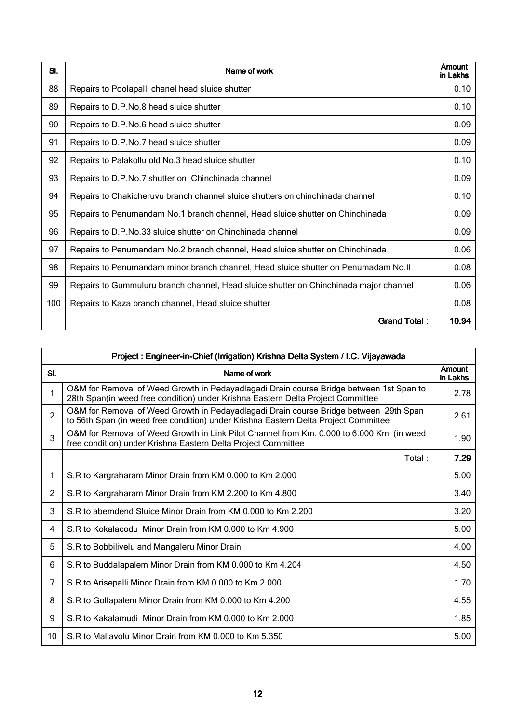| SI. | Name of work                                                                          | Amount<br>in Lakhs |
|-----|---------------------------------------------------------------------------------------|--------------------|
| 88  | Repairs to Poolapalli chanel head sluice shutter                                      | 0.10               |
| 89  | Repairs to D.P.No.8 head sluice shutter                                               | 0.10               |
| 90  | Repairs to D.P.No.6 head sluice shutter                                               | 0.09               |
| 91  | Repairs to D.P.No.7 head sluice shutter                                               | 0.09               |
| 92  | Repairs to Palakollu old No.3 head sluice shutter                                     | 0.10               |
| 93  | Repairs to D.P.No.7 shutter on Chinchinada channel                                    | 0.09               |
| 94  | Repairs to Chakicheruvu branch channel sluice shutters on chinchinada channel         | 0.10               |
| 95  | Repairs to Penumandam No.1 branch channel, Head sluice shutter on Chinchinada         | 0.09               |
| 96  | Repairs to D.P.No.33 sluice shutter on Chinchinada channel                            | 0.09               |
| 97  | Repairs to Penumandam No.2 branch channel, Head sluice shutter on Chinchinada         | 0.06               |
| 98  | Repairs to Penumandam minor branch channel, Head sluice shutter on Penumadam No.II    | 0.08               |
| 99  | Repairs to Gummuluru branch channel, Head sluice shutter on Chinchinada major channel | 0.06               |
| 100 | Repairs to Kaza branch channel, Head sluice shutter                                   | 0.08               |
|     | <b>Grand Total:</b>                                                                   | 10.94              |

|                | Project: Engineer-in-Chief (Irrigation) Krishna Delta System / I.C. Vijayawada                                                                                               |                    |
|----------------|------------------------------------------------------------------------------------------------------------------------------------------------------------------------------|--------------------|
| SI.            | Name of work                                                                                                                                                                 | Amount<br>in Lakhs |
| 1              | O&M for Removal of Weed Growth in Pedayadlagadi Drain course Bridge between 1st Span to<br>28th Span(in weed free condition) under Krishna Eastern Delta Project Committee   | 2.78               |
| $\overline{2}$ | O&M for Removal of Weed Growth in Pedayadlagadi Drain course Bridge between 29th Span<br>to 56th Span (in weed free condition) under Krishna Eastern Delta Project Committee | 2.61               |
| 3              | O&M for Removal of Weed Growth in Link Pilot Channel from Km. 0.000 to 6.000 Km (in weed<br>free condition) under Krishna Eastern Delta Project Committee                    | 1.90               |
|                | Total:                                                                                                                                                                       | 7.29               |
| 1              | S.R to Kargraharam Minor Drain from KM 0.000 to Km 2.000                                                                                                                     | 5.00               |
| $\overline{2}$ | S.R to Kargraharam Minor Drain from KM 2.200 to Km 4.800                                                                                                                     | 3.40               |
| 3              | S.R to abemdend Sluice Minor Drain from KM 0.000 to Km 2.200                                                                                                                 | 3.20               |
| 4              | S.R to Kokalacodu Minor Drain from KM 0.000 to Km 4.900                                                                                                                      | 5.00               |
| 5              | S.R to Bobbilivelu and Mangaleru Minor Drain                                                                                                                                 | 4.00               |
| 6              | S.R to Buddalapalem Minor Drain from KM 0.000 to Km 4.204                                                                                                                    | 4.50               |
| 7              | S.R to Arisepalli Minor Drain from KM 0.000 to Km 2.000                                                                                                                      | 1.70               |
| 8              | S.R to Gollapalem Minor Drain from KM 0.000 to Km 4.200                                                                                                                      | 4.55               |
| 9              | S.R to Kakalamudi Minor Drain from KM 0.000 to Km 2.000                                                                                                                      | 1.85               |
| 10             | S.R to Mallavolu Minor Drain from KM 0.000 to Km 5.350                                                                                                                       | 5.00               |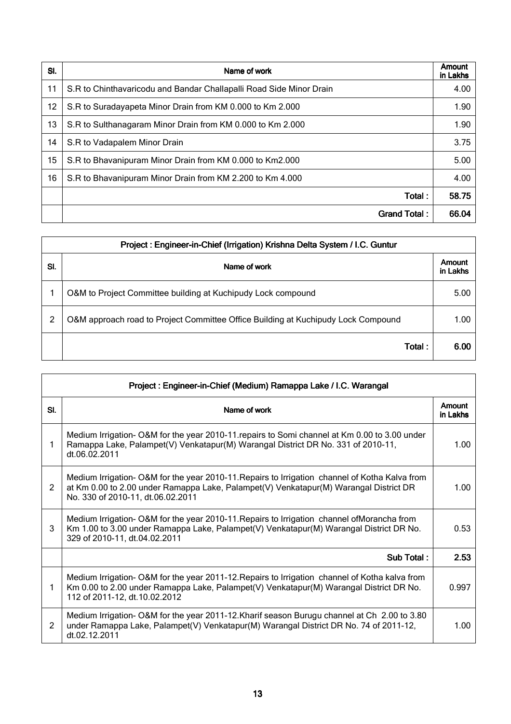| SI. | Name of work                                                        | Amount<br>in Lakhs |
|-----|---------------------------------------------------------------------|--------------------|
| 11  | S.R to Chinthavaricodu and Bandar Challapalli Road Side Minor Drain | 4.00               |
| 12  | S.R to Suradayapeta Minor Drain from KM 0.000 to Km 2.000           | 1.90               |
| 13  | S.R to Sulthanagaram Minor Drain from KM 0.000 to Km 2.000          | 1.90               |
| 14  | S.R to Vadapalem Minor Drain                                        | 3.75               |
| 15  | S.R to Bhavanipuram Minor Drain from KM 0.000 to Km2.000            | 5.00               |
| 16  | S.R to Bhavanipuram Minor Drain from KM 2.200 to Km 4.000           | 4.00               |
|     | Total:                                                              | 58.75              |
|     | Grand Total:                                                        | 66.04              |

| Project: Engineer-in-Chief (Irrigation) Krishna Delta System / I.C. Guntur |                                                                                   |                    |
|----------------------------------------------------------------------------|-----------------------------------------------------------------------------------|--------------------|
| SI.                                                                        | Name of work                                                                      | Amount<br>in Lakhs |
|                                                                            | O&M to Project Committee building at Kuchipudy Lock compound                      | 5.00               |
| 2                                                                          | O&M approach road to Project Committee Office Building at Kuchipudy Lock Compound | 1.00               |
|                                                                            | Total:                                                                            | 6.00               |

| Project: Engineer-in-Chief (Medium) Ramappa Lake / I.C. Warangal |                                                                                                                                                                                                                             |                    |
|------------------------------------------------------------------|-----------------------------------------------------------------------------------------------------------------------------------------------------------------------------------------------------------------------------|--------------------|
| SI.                                                              | Name of work                                                                                                                                                                                                                | Amount<br>in Lakhs |
| 1                                                                | Medium Irrigation- O&M for the year 2010-11 repairs to Somi channel at Km 0.00 to 3.00 under<br>Ramappa Lake, Palampet(V) Venkatapur(M) Warangal District DR No. 331 of 2010-11,<br>dt.06.02.2011                           | 1.00               |
| 2                                                                | Medium Irrigation-O&M for the year 2010-11. Repairs to Irrigation channel of Kotha Kalva from<br>at Km 0.00 to 2.00 under Ramappa Lake, Palampet(V) Venkatapur(M) Warangal District DR<br>No. 330 of 2010-11, dt.06.02.2011 | 1.00               |
| 3                                                                | Medium Irrigation-O&M for the year 2010-11. Repairs to Irrigation channel of Morancha from<br>Km 1.00 to 3.00 under Ramappa Lake, Palampet(V) Venkatapur(M) Warangal District DR No.<br>329 of 2010-11, dt.04.02.2011       | 0.53               |
|                                                                  | Sub Total:                                                                                                                                                                                                                  | 2.53               |
| 1                                                                | Medium Irrigation-O&M for the year 2011-12. Repairs to Irrigation channel of Kotha kalva from<br>Km 0.00 to 2.00 under Ramappa Lake, Palampet(V) Venkatapur(M) Warangal District DR No.<br>112 of 2011-12, dt.10.02.2012    | 0.997              |
| 2                                                                | Medium Irrigation- O&M for the year 2011-12. Kharif season Burugu channel at Ch 2.00 to 3.80<br>under Ramappa Lake, Palampet(V) Venkatapur(M) Warangal District DR No. 74 of 2011-12,<br>dt.02.12.2011                      | 1.00               |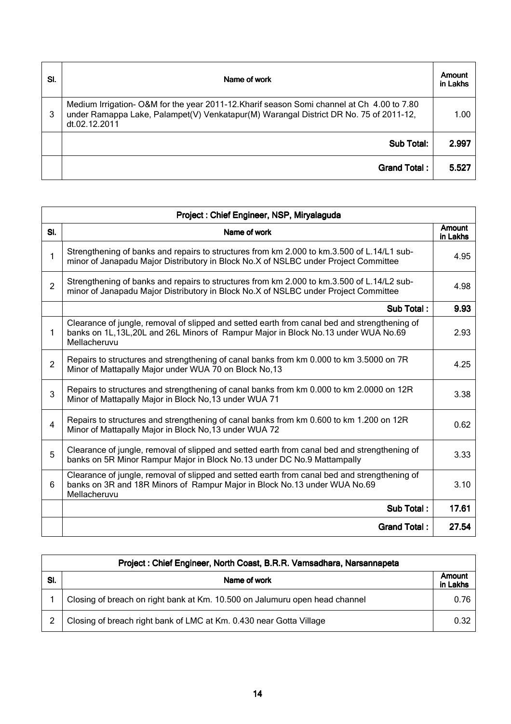| SI. | Name of work                                                                                                                                                                                         | Amount<br>in Lakhs |
|-----|------------------------------------------------------------------------------------------------------------------------------------------------------------------------------------------------------|--------------------|
| 3   | Medium Irrigation- O&M for the year 2011-12. Kharif season Somi channel at Ch 4.00 to 7.80<br>under Ramappa Lake, Palampet(V) Venkatapur(M) Warangal District DR No. 75 of 2011-12,<br>dt.02.12.2011 | 1.00               |
|     | <b>Sub Total:</b>                                                                                                                                                                                    | 2.997              |
|     | Grand Total:                                                                                                                                                                                         | 5.527              |

| Project: Chief Engineer, NSP, Miryalaguda |                                                                                                                                                                                                       |                           |
|-------------------------------------------|-------------------------------------------------------------------------------------------------------------------------------------------------------------------------------------------------------|---------------------------|
| SI.                                       | Name of work                                                                                                                                                                                          | <b>Amount</b><br>in Lakhs |
| 1                                         | Strengthening of banks and repairs to structures from km 2.000 to km.3.500 of L.14/L1 sub-<br>minor of Janapadu Major Distributory in Block No.X of NSLBC under Project Committee                     | 4.95                      |
| $\overline{2}$                            | Strengthening of banks and repairs to structures from km 2.000 to km.3.500 of L.14/L2 sub-<br>minor of Janapadu Major Distributory in Block No.X of NSLBC under Project Committee                     | 4.98                      |
|                                           | Sub Total:                                                                                                                                                                                            | 9.93                      |
| 1                                         | Clearance of jungle, removal of slipped and setted earth from canal bed and strengthening of<br>banks on 1L, 13L, 20L and 26L Minors of Rampur Major in Block No. 13 under WUA No. 69<br>Mellacheruvu | 2.93                      |
| $\overline{2}$                            | Repairs to structures and strengthening of canal banks from km 0.000 to km 3.5000 on 7R<br>Minor of Mattapally Major under WUA 70 on Block No,13                                                      | 4.25                      |
| 3                                         | Repairs to structures and strengthening of canal banks from km 0.000 to km 2.0000 on 12R<br>Minor of Mattapally Major in Block No, 13 under WUA 71                                                    | 3.38                      |
| $\overline{4}$                            | Repairs to structures and strengthening of canal banks from km 0.600 to km 1.200 on 12R<br>Minor of Mattapally Major in Block No, 13 under WUA 72                                                     | 0.62                      |
| 5                                         | Clearance of jungle, removal of slipped and setted earth from canal bed and strengthening of<br>banks on 5R Minor Rampur Major in Block No.13 under DC No.9 Mattampally                               | 3.33                      |
| 6                                         | Clearance of jungle, removal of slipped and setted earth from canal bed and strengthening of<br>banks on 3R and 18R Minors of Rampur Major in Block No.13 under WUA No.69<br>Mellacheruvu             | 3.10                      |
|                                           | Sub Total:                                                                                                                                                                                            | 17.61                     |
|                                           | <b>Grand Total:</b>                                                                                                                                                                                   | 27.54                     |

|     | Project: Chief Engineer, North Coast, B.R.R. Vamsadhara, Narsannapeta       |                    |
|-----|-----------------------------------------------------------------------------|--------------------|
| SI. | Name of work                                                                | Amount<br>in Lakhs |
|     | Closing of breach on right bank at Km. 10.500 on Jalumuru open head channel | 0.76               |
|     | Closing of breach right bank of LMC at Km. 0.430 near Gotta Village         | 0.32               |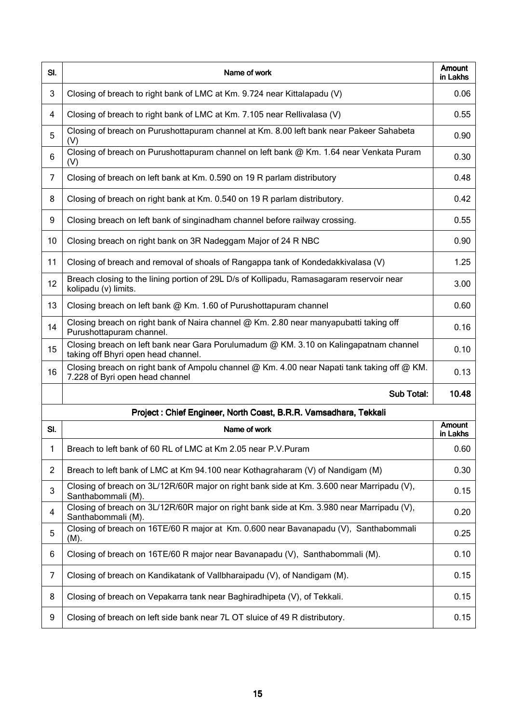| SI.            | Name of work                                                                                                                                 | Amount<br>in Lakhs |
|----------------|----------------------------------------------------------------------------------------------------------------------------------------------|--------------------|
| 3              | Closing of breach to right bank of LMC at Km. 9.724 near Kittalapadu (V)                                                                     | 0.06               |
| 4              | Closing of breach to right bank of LMC at Km. 7.105 near Rellivalasa (V)                                                                     | 0.55               |
| 5              | Closing of breach on Purushottapuram channel at Km. 8.00 left bank near Pakeer Sahabeta<br>(V)                                               | 0.90               |
| 6              | Closing of breach on Purushottapuram channel on left bank @ Km. 1.64 near Venkata Puram<br>(V)                                               | 0.30               |
| $\overline{7}$ | Closing of breach on left bank at Km. 0.590 on 19 R parlam distributory                                                                      | 0.48               |
| 8              | Closing of breach on right bank at Km. 0.540 on 19 R parlam distributory.                                                                    | 0.42               |
| 9              | Closing breach on left bank of singinadham channel before railway crossing.                                                                  | 0.55               |
| 10             | Closing breach on right bank on 3R Nadeggam Major of 24 R NBC                                                                                | 0.90               |
| 11             | Closing of breach and removal of shoals of Rangappa tank of Kondedakkivalasa (V)                                                             | 1.25               |
| 12             | Breach closing to the lining portion of 29L D/s of Kollipadu, Ramasagaram reservoir near<br>kolipadu (v) limits.                             | 3.00               |
| 13             | Closing breach on left bank @ Km. 1.60 of Purushottapuram channel                                                                            | 0.60               |
| 14             | Closing breach on right bank of Naira channel @ Km. 2.80 near manyapubatti taking off<br>Purushottapuram channel.                            | 0.16               |
| 15             | Closing breach on left bank near Gara Porulumadum @ KM. 3.10 on Kalingapatnam channel<br>taking off Bhyri open head channel.                 | 0.10               |
| 16             | Closing breach on right bank of Ampolu channel $\omega$ Km. 4.00 near Napati tank taking off $\omega$ KM.<br>7.228 of Byri open head channel | 0.13               |
|                | <b>Sub Total:</b>                                                                                                                            | 10.48              |
|                | Project : Chief Engineer, North Coast, B.R.R. Vamsadhara, Tekkali                                                                            |                    |
| SI.            | Name of work                                                                                                                                 | Amount<br>in Lakhs |
| 1              | Breach to left bank of 60 RL of LMC at Km 2.05 near P.V.Puram                                                                                | 0.60               |
| $\overline{2}$ | Breach to left bank of LMC at Km 94.100 near Kothagraharam (V) of Nandigam (M)                                                               | 0.30               |
| 3              | Closing of breach on 3L/12R/60R major on right bank side at Km. 3.600 near Marripadu (V),<br>Santhabommali (M).                              | 0.15               |
| 4              | Closing of breach on 3L/12R/60R major on right bank side at Km. 3.980 near Marripadu (V),<br>Santhabommali (M).                              | 0.20               |
| 5              | Closing of breach on 16TE/60 R major at Km. 0.600 near Bavanapadu (V), Santhabommali<br>$(M)$ .                                              | 0.25               |
| 6              | Closing of breach on 16TE/60 R major near Bavanapadu (V), Santhabommali (M).                                                                 | 0.10               |
| 7              | Closing of breach on Kandikatank of Vallbharaipadu (V), of Nandigam (M).                                                                     | 0.15               |
| 8              | Closing of breach on Vepakarra tank near Baghiradhipeta (V), of Tekkali.                                                                     | 0.15               |
| 9              | Closing of breach on left side bank near 7L OT sluice of 49 R distributory.                                                                  | 0.15               |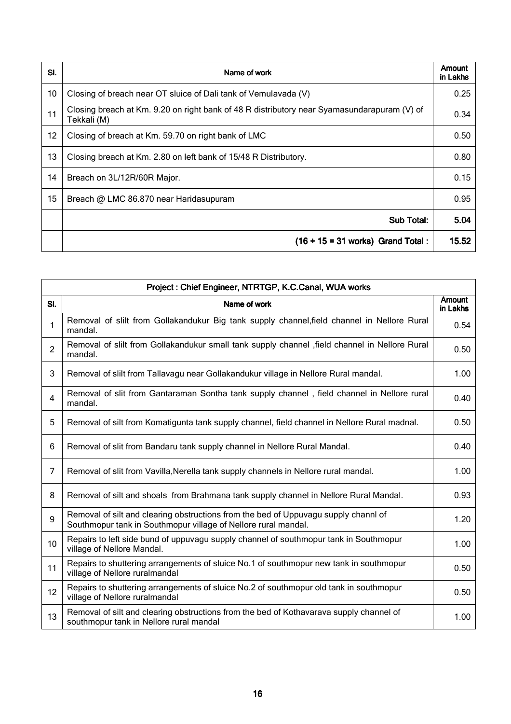| SI. | Name of work                                                                                               | Amount<br>in Lakhs |
|-----|------------------------------------------------------------------------------------------------------------|--------------------|
| 10  | Closing of breach near OT sluice of Dali tank of Vemulavada (V)                                            | 0.25               |
| 11  | Closing breach at Km. 9.20 on right bank of 48 R distributory near Syamasundarapuram (V) of<br>Tekkali (M) | 0.34               |
| 12  | Closing of breach at Km. 59.70 on right bank of LMC                                                        | 0.50               |
| 13  | Closing breach at Km. 2.80 on left bank of 15/48 R Distributory.                                           | 0.80               |
| 14  | Breach on 3L/12R/60R Major.                                                                                | 0.15               |
| 15  | Breach @ LMC 86.870 near Haridasupuram                                                                     | 0.95               |
|     | Sub Total:                                                                                                 | 5.04               |
|     | $(16 + 15 = 31$ works) Grand Total:                                                                        | 15.52              |

| Project: Chief Engineer, NTRTGP, K.C.Canal, WUA works |                                                                                                                                                       |                           |
|-------------------------------------------------------|-------------------------------------------------------------------------------------------------------------------------------------------------------|---------------------------|
| SI.                                                   | Name of work                                                                                                                                          | <b>Amount</b><br>in Lakhs |
| 1                                                     | Removal of slilt from Gollakandukur Big tank supply channel, field channel in Nellore Rural<br>mandal.                                                | 0.54                      |
| $\overline{2}$                                        | Removal of slilt from Gollakandukur small tank supply channel , field channel in Nellore Rural<br>mandal.                                             | 0.50                      |
| 3                                                     | Removal of slilt from Tallavagu near Gollakandukur village in Nellore Rural mandal.                                                                   | 1.00                      |
| 4                                                     | Removal of slit from Gantaraman Sontha tank supply channel, field channel in Nellore rural<br>mandal.                                                 | 0.40                      |
| 5                                                     | Removal of silt from Komatigunta tank supply channel, field channel in Nellore Rural madnal.                                                          | 0.50                      |
| 6                                                     | Removal of slit from Bandaru tank supply channel in Nellore Rural Mandal.                                                                             | 0.40                      |
| $\overline{7}$                                        | Removal of slit from Vavilla, Nerella tank supply channels in Nellore rural mandal.                                                                   | 1.00                      |
| 8                                                     | Removal of silt and shoals from Brahmana tank supply channel in Nellore Rural Mandal.                                                                 | 0.93                      |
| 9                                                     | Removal of silt and clearing obstructions from the bed of Uppuvagu supply channl of<br>Southmopur tank in Southmopur village of Nellore rural mandal. | 1.20                      |
| 10                                                    | Repairs to left side bund of uppuvagu supply channel of southmopur tank in Southmopur<br>village of Nellore Mandal.                                   | 1.00                      |
| 11                                                    | Repairs to shuttering arrangements of sluice No.1 of southmopur new tank in southmopur<br>village of Nellore ruralmandal                              | 0.50                      |
| 12                                                    | Repairs to shuttering arrangements of sluice No.2 of southmopur old tank in southmopur<br>village of Nellore ruralmandal                              | 0.50                      |
| 13                                                    | Removal of silt and clearing obstructions from the bed of Kothavarava supply channel of<br>southmopur tank in Nellore rural mandal                    | 1.00                      |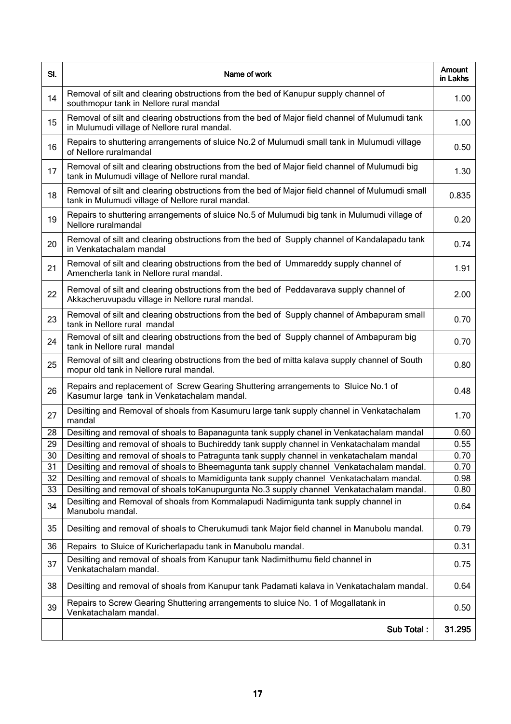| SI. | Name of work                                                                                                                                         | <b>Amount</b><br>in Lakhs |
|-----|------------------------------------------------------------------------------------------------------------------------------------------------------|---------------------------|
| 14  | Removal of silt and clearing obstructions from the bed of Kanupur supply channel of<br>southmopur tank in Nellore rural mandal                       | 1.00                      |
| 15  | Removal of silt and clearing obstructions from the bed of Major field channel of Mulumudi tank<br>in Mulumudi village of Nellore rural mandal.       | 1.00                      |
| 16  | Repairs to shuttering arrangements of sluice No.2 of Mulumudi small tank in Mulumudi village<br>of Nellore ruralmandal                               | 0.50                      |
| 17  | Removal of silt and clearing obstructions from the bed of Major field channel of Mulumudi big<br>tank in Mulumudi village of Nellore rural mandal.   | 1.30                      |
| 18  | Removal of silt and clearing obstructions from the bed of Major field channel of Mulumudi small<br>tank in Mulumudi village of Nellore rural mandal. | 0.835                     |
| 19  | Repairs to shuttering arrangements of sluice No.5 of Mulumudi big tank in Mulumudi village of<br>Nellore ruralmandal                                 | 0.20                      |
| 20  | Removal of silt and clearing obstructions from the bed of Supply channel of Kandalapadu tank<br>in Venkatachalam mandal                              | 0.74                      |
| 21  | Removal of silt and clearing obstructions from the bed of Ummareddy supply channel of<br>Amencherla tank in Nellore rural mandal.                    | 1.91                      |
| 22  | Removal of silt and clearing obstructions from the bed of Peddavarava supply channel of<br>Akkacheruvupadu village in Nellore rural mandal.          | 2.00                      |
| 23  | Removal of silt and clearing obstructions from the bed of Supply channel of Ambapuram small<br>tank in Nellore rural mandal                          | 0.70                      |
| 24  | Removal of silt and clearing obstructions from the bed of Supply channel of Ambapuram big<br>tank in Nellore rural mandal                            | 0.70                      |
| 25  | Removal of silt and clearing obstructions from the bed of mitta kalava supply channel of South<br>mopur old tank in Nellore rural mandal.            | 0.80                      |
| 26  | Repairs and replacement of Screw Gearing Shuttering arrangements to Sluice No.1 of<br>Kasumur large tank in Venkatachalam mandal.                    | 0.48                      |
| 27  | Desilting and Removal of shoals from Kasumuru large tank supply channel in Venkatachalam<br>mandal                                                   | 1.70                      |
| 28  | Desilting and removal of shoals to Bapanagunta tank supply chanel in Venkatachalam mandal                                                            | 0.60                      |
| 29  | Desilting and removal of shoals to Buchireddy tank supply channel in Venkatachalam mandal                                                            | 0.55                      |
| 30  | Desilting and removal of shoals to Patragunta tank supply channel in venkatachalam mandal                                                            | 0.70                      |
| 31  | Desilting and removal of shoals to Bheemagunta tank supply channel Venkatachalam mandal.                                                             | 0.70                      |
| 32  | Desilting and removal of shoals to Mamidigunta tank supply channel Venkatachalam mandal.                                                             | 0.98                      |
| 33  | Desilting and removal of shoals toKanupurgunta No.3 supply channel Venkatachalam mandal.                                                             | 0.80                      |
| 34  | Desilting and Removal of shoals from Kommalapudi Nadimigunta tank supply channel in<br>Manubolu mandal.                                              | 0.64                      |
| 35  | Desilting and removal of shoals to Cherukumudi tank Major field channel in Manubolu mandal.                                                          | 0.79                      |
| 36  | Repairs to Sluice of Kuricherlapadu tank in Manubolu mandal.                                                                                         | 0.31                      |
| 37  | Desilting and removal of shoals from Kanupur tank Nadimithumu field channel in<br>Venkatachalam mandal.                                              | 0.75                      |
| 38  | Desilting and removal of shoals from Kanupur tank Padamati kalava in Venkatachalam mandal.                                                           | 0.64                      |
| 39  | Repairs to Screw Gearing Shuttering arrangements to sluice No. 1 of Mogallatank in<br>Venkatachalam mandal.                                          | 0.50                      |
|     | Sub Total:                                                                                                                                           | 31.295                    |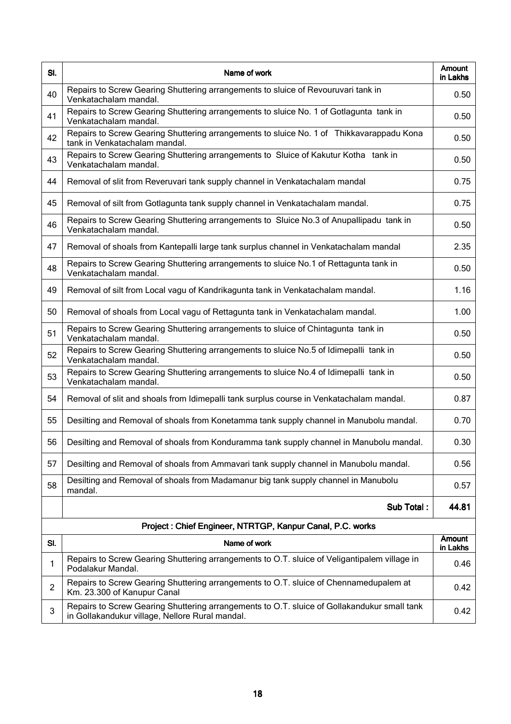| SI. | Name of work                                                                                                              | <b>Amount</b><br>in Lakhs |
|-----|---------------------------------------------------------------------------------------------------------------------------|---------------------------|
| 40  | Repairs to Screw Gearing Shuttering arrangements to sluice of Revouruvari tank in<br>Venkatachalam mandal.                | 0.50                      |
| 41  | Repairs to Screw Gearing Shuttering arrangements to sluice No. 1 of Gotlagunta tank in<br>Venkatachalam mandal.           | 0.50                      |
| 42  | Repairs to Screw Gearing Shuttering arrangements to sluice No. 1 of Thikkavarappadu Kona<br>tank in Venkatachalam mandal. | 0.50                      |
| 43  | Repairs to Screw Gearing Shuttering arrangements to Sluice of Kakutur Kotha tank in<br>Venkatachalam mandal.              | 0.50                      |
| 44  | Removal of slit from Reveruvari tank supply channel in Venkatachalam mandal                                               | 0.75                      |
| 45  | Removal of silt from Gotlagunta tank supply channel in Venkatachalam mandal.                                              | 0.75                      |
| 46  | Repairs to Screw Gearing Shuttering arrangements to Sluice No.3 of Anupallipadu tank in<br>Venkatachalam mandal.          | 0.50                      |
| 47  | Removal of shoals from Kantepalli large tank surplus channel in Venkatachalam mandal                                      | 2.35                      |
| 48  | Repairs to Screw Gearing Shuttering arrangements to sluice No.1 of Rettagunta tank in<br>Venkatachalam mandal.            | 0.50                      |
| 49  | Removal of silt from Local vagu of Kandrikagunta tank in Venkatachalam mandal.                                            | 1.16                      |
| 50  | Removal of shoals from Local vagu of Rettagunta tank in Venkatachalam mandal.                                             | 1.00                      |
| 51  | Repairs to Screw Gearing Shuttering arrangements to sluice of Chintagunta tank in<br>Venkatachalam mandal.                | 0.50                      |
| 52  | Repairs to Screw Gearing Shuttering arrangements to sluice No.5 of Idimepalli tank in<br>Venkatachalam mandal.            | 0.50                      |
| 53  | Repairs to Screw Gearing Shuttering arrangements to sluice No.4 of Idimepalli tank in<br>Venkatachalam mandal.            | 0.50                      |
| 54  | Removal of slit and shoals from Idimepalli tank surplus course in Venkatachalam mandal.                                   | 0.87                      |
| 55  | Desilting and Removal of shoals from Konetamma tank supply channel in Manubolu mandal.                                    | 0.70                      |
| 56  | Desilting and Removal of shoals from Konduramma tank supply channel in Manubolu mandal.                                   | 0.30                      |
| 57  | Desilting and Removal of shoals from Ammavari tank supply channel in Manubolu mandal.                                     | 0.56                      |
| 58  | Desilting and Removal of shoals from Madamanur big tank supply channel in Manubolu<br>mandal.                             | 0.57                      |
|     | Sub Total:                                                                                                                | 44.81                     |
|     | Project: Chief Engineer, NTRTGP, Kanpur Canal, P.C. works                                                                 |                           |

| SI. | Name of work                                                                                                                                   | Amount<br>in Lakhs |
|-----|------------------------------------------------------------------------------------------------------------------------------------------------|--------------------|
|     | Repairs to Screw Gearing Shuttering arrangements to O.T. sluice of Veligantipalem village in<br>Podalakur Mandal.                              | 0.46               |
|     | Repairs to Screw Gearing Shuttering arrangements to O.T. sluice of Chennamedupalem at<br>Km. 23.300 of Kanupur Canal                           | 0.42               |
|     | Repairs to Screw Gearing Shuttering arrangements to O.T. sluice of Gollakandukur small tank<br>in Gollakandukur village, Nellore Rural mandal. | 0.42               |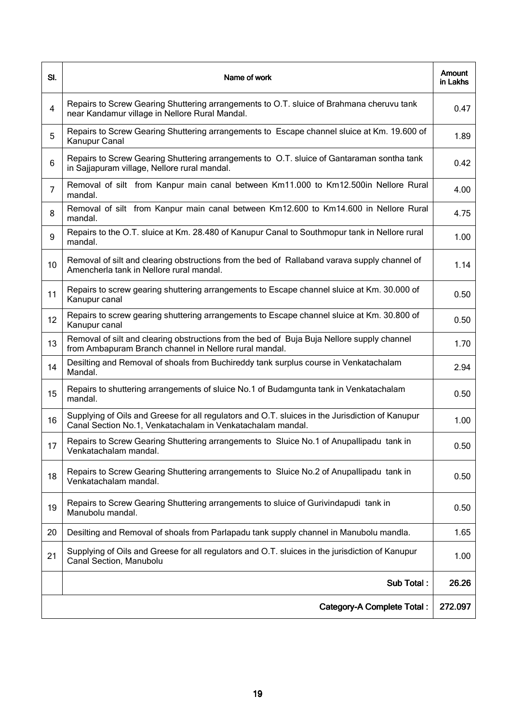| SI.            | Name of work                                                                                                                                                  | <b>Amount</b><br>in Lakhs |
|----------------|---------------------------------------------------------------------------------------------------------------------------------------------------------------|---------------------------|
| $\overline{4}$ | Repairs to Screw Gearing Shuttering arrangements to O.T. sluice of Brahmana cheruvu tank<br>near Kandamur village in Nellore Rural Mandal.                    | 0.47                      |
| $\overline{5}$ | Repairs to Screw Gearing Shuttering arrangements to Escape channel sluice at Km. 19.600 of<br>Kanupur Canal                                                   | 1.89                      |
| 6              | Repairs to Screw Gearing Shuttering arrangements to O.T. sluice of Gantaraman sontha tank<br>in Sajjapuram village, Nellore rural mandal.                     | 0.42                      |
| $\overline{7}$ | Removal of silt from Kanpur main canal between Km11.000 to Km12.500in Nellore Rural<br>mandal.                                                                | 4.00                      |
| 8              | Removal of silt from Kanpur main canal between Km12.600 to Km14.600 in Nellore Rural<br>mandal.                                                               | 4.75                      |
| 9              | Repairs to the O.T. sluice at Km. 28.480 of Kanupur Canal to Southmopur tank in Nellore rural<br>mandal.                                                      | 1.00                      |
| 10             | Removal of silt and clearing obstructions from the bed of Rallaband varava supply channel of<br>Amencherla tank in Nellore rural mandal.                      | 1.14                      |
| 11             | Repairs to screw gearing shuttering arrangements to Escape channel sluice at Km. 30.000 of<br>Kanupur canal                                                   | 0.50                      |
| 12             | Repairs to screw gearing shuttering arrangements to Escape channel sluice at Km. 30.800 of<br>Kanupur canal                                                   | 0.50                      |
| 13             | Removal of silt and clearing obstructions from the bed of Buja Buja Nellore supply channel<br>from Ambapuram Branch channel in Nellore rural mandal.          | 1.70                      |
| 14             | Desilting and Removal of shoals from Buchireddy tank surplus course in Venkatachalam<br>Mandal.                                                               | 2.94                      |
| 15             | Repairs to shuttering arrangements of sluice No.1 of Budamgunta tank in Venkatachalam<br>mandal.                                                              | 0.50                      |
| 16             | Supplying of Oils and Greese for all regulators and O.T. sluices in the Jurisdiction of Kanupur<br>Canal Section No.1, Venkatachalam in Venkatachalam mandal. | 1.00                      |
| 17             | Repairs to Screw Gearing Shuttering arrangements to Sluice No.1 of Anupallipadu tank in<br>Venkatachalam mandal.                                              | 0.50                      |
| 18             | Repairs to Screw Gearing Shuttering arrangements to Sluice No.2 of Anupallipadu tank in<br>Venkatachalam mandal.                                              | 0.50                      |
| 19             | Repairs to Screw Gearing Shuttering arrangements to sluice of Gurivindapudi tank in<br>Manubolu mandal.                                                       | 0.50                      |
| 20             | Desilting and Removal of shoals from Parlapadu tank supply channel in Manubolu mandla.                                                                        | 1.65                      |
| 21             | Supplying of Oils and Greese for all regulators and O.T. sluices in the jurisdiction of Kanupur<br>Canal Section, Manubolu                                    | 1.00                      |
|                | Sub Total:                                                                                                                                                    | 26.26                     |
|                | <b>Category-A Complete Total:</b>                                                                                                                             | 272.097                   |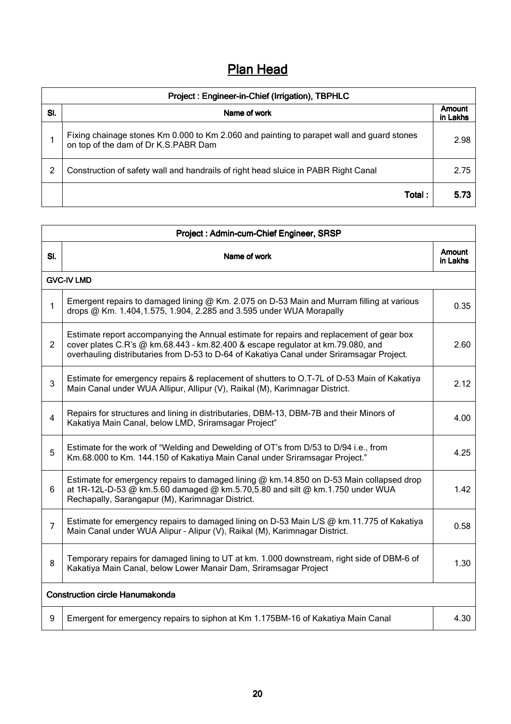# **Plan Head**

| Project: Engineer-in-Chief (Irrigation), TBPHLC |                                                                                                                                   |                    |
|-------------------------------------------------|-----------------------------------------------------------------------------------------------------------------------------------|--------------------|
| SI.                                             | Name of work                                                                                                                      | Amount<br>in Lakhs |
|                                                 | Fixing chainage stones Km 0.000 to Km 2.060 and painting to parapet wall and guard stones<br>on top of the dam of Dr K.S.PABR Dam | 2.98               |
|                                                 | Construction of safety wall and handrails of right head sluice in PABR Right Canal                                                | 2.75               |
|                                                 | Total:                                                                                                                            | 5.73               |

|                                        | Project: Admin-cum-Chief Engineer, SRSP                                                                                                                                                                                                                                  |                    |  |
|----------------------------------------|--------------------------------------------------------------------------------------------------------------------------------------------------------------------------------------------------------------------------------------------------------------------------|--------------------|--|
| SI.                                    | Name of work                                                                                                                                                                                                                                                             | Amount<br>in Lakhs |  |
|                                        | <b>GVC-IV LMD</b>                                                                                                                                                                                                                                                        |                    |  |
| 1                                      | Emergent repairs to damaged lining $@$ Km. 2.075 on D-53 Main and Murram filling at various<br>drops @ Km. 1.404, 1.575, 1.904, 2.285 and 3.595 under WUA Morapally                                                                                                      | 0.35               |  |
| $\overline{2}$                         | Estimate report accompanying the Annual estimate for repairs and replacement of gear box<br>cover plates C.R's @ km.68.443 - km.82.400 & escape regulator at km.79.080, and<br>overhauling distributaries from D-53 to D-64 of Kakatiya Canal under Sriramsagar Project. | 2.60               |  |
| 3                                      | Estimate for emergency repairs & replacement of shutters to O.T-7L of D-53 Main of Kakatiya<br>Main Canal under WUA Allipur, Allipur (V), Raikal (M), Karimnagar District.                                                                                               | 2.12               |  |
| $\overline{4}$                         | Repairs for structures and lining in distributaries, DBM-13, DBM-7B and their Minors of<br>Kakatiya Main Canal, below LMD, Sriramsagar Project"                                                                                                                          | 4.00               |  |
| $\overline{5}$                         | Estimate for the work of "Welding and Dewelding of OT's from D/53 to D/94 i.e., from<br>Km.68.000 to Km. 144.150 of Kakatiya Main Canal under Sriramsagar Project."                                                                                                      | 4.25               |  |
| 6                                      | Estimate for emergency repairs to damaged lining $@$ km.14.850 on D-53 Main collapsed drop<br>at 1R-12L-D-53 @ km.5.60 damaged @ km.5.70,5.80 and silt @ km.1.750 under WUA<br>Rechapally, Sarangapur (M), Karimnagar District.                                          | 1.42               |  |
| $\overline{7}$                         | Estimate for emergency repairs to damaged lining on D-53 Main L/S @ km.11.775 of Kakatiya<br>Main Canal under WUA Alipur - Alipur (V), Raikal (M), Karimnagar District.                                                                                                  | 0.58               |  |
| 8                                      | Temporary repairs for damaged lining to UT at km. 1.000 downstream, right side of DBM-6 of<br>Kakatiya Main Canal, below Lower Manair Dam, Sriramsagar Project                                                                                                           | 1.30               |  |
| <b>Construction circle Hanumakonda</b> |                                                                                                                                                                                                                                                                          |                    |  |
| 9                                      | Emergent for emergency repairs to siphon at Km 1.175BM-16 of Kakatiya Main Canal                                                                                                                                                                                         | 4.30               |  |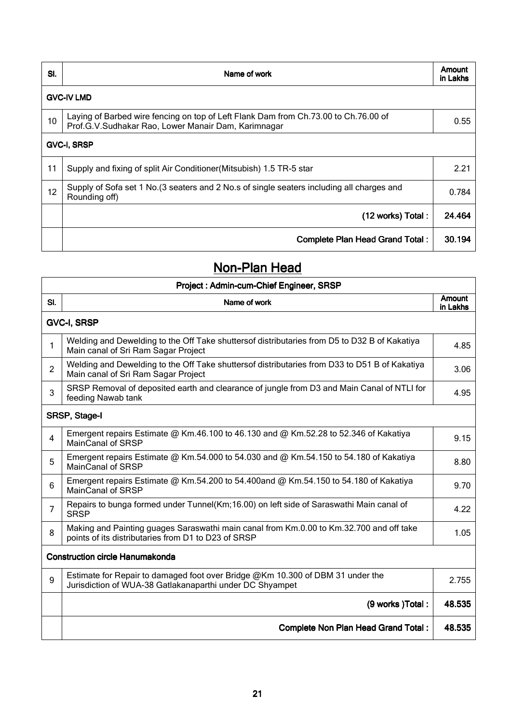| SI.                | Name of work                                                                                                                               | Amount<br>in Lakhs |
|--------------------|--------------------------------------------------------------------------------------------------------------------------------------------|--------------------|
|                    | <b>GVC-IV LMD</b>                                                                                                                          |                    |
| 10                 | Laying of Barbed wire fencing on top of Left Flank Dam from Ch.73.00 to Ch.76.00 of<br>Prof.G.V.Sudhakar Rao, Lower Manair Dam, Karimnagar | 0.55               |
| <b>GVC-I, SRSP</b> |                                                                                                                                            |                    |
| 11                 | Supply and fixing of split Air Conditioner (Mitsubish) 1.5 TR-5 star                                                                       | 2.21               |
| 12                 | Supply of Sofa set 1 No. (3 seaters and 2 No.s of single seaters including all charges and<br>Rounding off)                                | 0.784              |
|                    | (12 works) Total:                                                                                                                          | 24.464             |
|                    | <b>Complete Plan Head Grand Total:</b>                                                                                                     | 30.194             |

## Non-Plan Head

| Project: Admin-cum-Chief Engineer, SRSP |                                                                                                                                                |                           |
|-----------------------------------------|------------------------------------------------------------------------------------------------------------------------------------------------|---------------------------|
| SI.                                     | Name of work                                                                                                                                   | <b>Amount</b><br>in Lakhs |
|                                         | <b>GVC-I, SRSP</b>                                                                                                                             |                           |
| 1                                       | Welding and Dewelding to the Off Take shuttersof distributaries from D5 to D32 B of Kakatiya<br>Main canal of Sri Ram Sagar Project            | 4.85                      |
| $\overline{2}$                          | Welding and Dewelding to the Off Take shuttersof distributaries from D33 to D51 B of Kakatiya<br>Main canal of Sri Ram Sagar Project           | 3.06                      |
| 3                                       | SRSP Removal of deposited earth and clearance of jungle from D3 and Main Canal of NTLI for<br>feeding Nawab tank                               | 4.95                      |
|                                         | SRSP, Stage-I                                                                                                                                  |                           |
| 4                                       | Emergent repairs Estimate @ Km.46.100 to 46.130 and @ Km.52.28 to 52.346 of Kakatiya<br><b>MainCanal of SRSP</b>                               | 9.15                      |
| 5                                       | Emergent repairs Estimate @ Km.54.000 to 54.030 and @ Km.54.150 to 54.180 of Kakatiya<br><b>MainCanal of SRSP</b>                              | 8.80                      |
| 6                                       | Emergent repairs Estimate @ Km.54.200 to 54.400and @ Km.54.150 to 54.180 of Kakatiya<br><b>MainCanal of SRSP</b>                               | 9.70                      |
| $\overline{7}$                          | Repairs to bunga formed under Tunnel(Km;16.00) on left side of Saraswathi Main canal of<br><b>SRSP</b>                                         | 4.22                      |
| 8                                       | Making and Painting guages Saraswathi main canal from Km.0.00 to Km.32.700 and off take<br>points of its distributaries from D1 to D23 of SRSP | 1.05                      |
| <b>Construction circle Hanumakonda</b>  |                                                                                                                                                |                           |
| 9                                       | Estimate for Repair to damaged foot over Bridge @Km 10.300 of DBM 31 under the<br>Jurisdiction of WUA-38 Gatlakanaparthi under DC Shyampet     | 2.755                     |
|                                         | (9 works) Total:                                                                                                                               | 48.535                    |
|                                         | <b>Complete Non Plan Head Grand Total:</b>                                                                                                     | 48.535                    |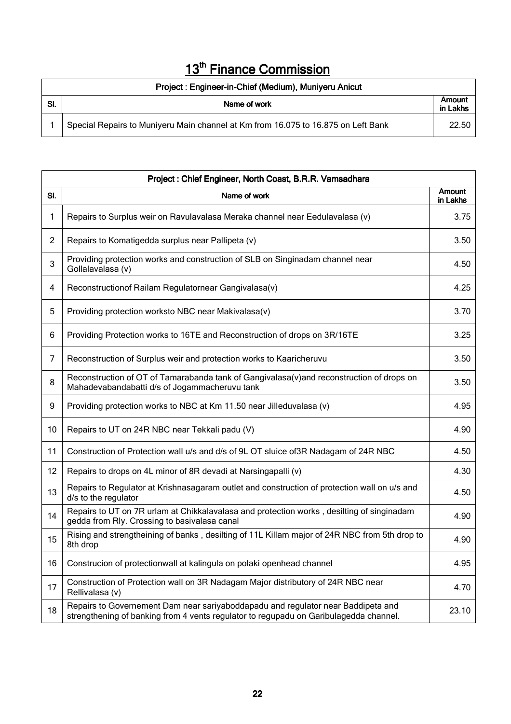# 13<sup>th</sup> Finance Commission

| Project: Engineer-in-Chief (Medium), Muniyeru Anicut |                                                                                   |                    |
|------------------------------------------------------|-----------------------------------------------------------------------------------|--------------------|
| SI.                                                  | Name of work                                                                      | Amount<br>in Lakhs |
|                                                      | Special Repairs to Muniyeru Main channel at Km from 16.075 to 16.875 on Left Bank | 22.50              |

|                | Project: Chief Engineer, North Coast, B.R.R. Vamsadhara                                                                                                                   |                           |  |
|----------------|---------------------------------------------------------------------------------------------------------------------------------------------------------------------------|---------------------------|--|
| SI.            | Name of work                                                                                                                                                              | <b>Amount</b><br>in Lakhs |  |
| 1              | Repairs to Surplus weir on Ravulavalasa Meraka channel near Eedulavalasa (v)                                                                                              | 3.75                      |  |
| $\overline{2}$ | Repairs to Komatigedda surplus near Pallipeta (v)                                                                                                                         | 3.50                      |  |
| 3              | Providing protection works and construction of SLB on Singinadam channel near<br>Gollalavalasa (v)                                                                        | 4.50                      |  |
| 4              | Reconstruction of Railam Regulatornear Gangivalasa(v)                                                                                                                     | 4.25                      |  |
| 5              | Providing protection worksto NBC near Makivalasa(v)                                                                                                                       | 3.70                      |  |
| 6              | Providing Protection works to 16TE and Reconstruction of drops on 3R/16TE                                                                                                 | 3.25                      |  |
| 7              | Reconstruction of Surplus weir and protection works to Kaaricheruvu                                                                                                       | 3.50                      |  |
| 8              | Reconstruction of OT of Tamarabanda tank of Gangivalasa(v)and reconstruction of drops on<br>Mahadevabandabatti d/s of Jogammacheruvu tank                                 | 3.50                      |  |
| 9              | Providing protection works to NBC at Km 11.50 near Jilleduvalasa (v)                                                                                                      | 4.95                      |  |
| 10             | Repairs to UT on 24R NBC near Tekkali padu (V)                                                                                                                            | 4.90                      |  |
| 11             | Construction of Protection wall u/s and d/s of 9L OT sluice of 3R Nadagam of 24R NBC                                                                                      | 4.50                      |  |
| 12             | Repairs to drops on 4L minor of 8R devadi at Narsingapalli (v)                                                                                                            | 4.30                      |  |
| 13             | Repairs to Regulator at Krishnasagaram outlet and construction of protection wall on u/s and<br>d/s to the regulator                                                      | 4.50                      |  |
| 14             | Repairs to UT on 7R urlam at Chikkalavalasa and protection works, desilting of singinadam<br>gedda from Rly. Crossing to basivalasa canal                                 | 4.90                      |  |
| 15             | Rising and strengtheining of banks, desilting of 11L Killam major of 24R NBC from 5th drop to<br>8th drop                                                                 | 4.90                      |  |
| 16             | Construcion of protectionwall at kalingula on polaki openhead channel                                                                                                     | 4.95                      |  |
| 17             | Construction of Protection wall on 3R Nadagam Major distributory of 24R NBC near<br>Rellivalasa (v)                                                                       | 4.70                      |  |
| 18             | Repairs to Governement Dam near sariyaboddapadu and regulator near Baddipeta and<br>strengthening of banking from 4 vents regulator to regupadu on Garibulagedda channel. | 23.10                     |  |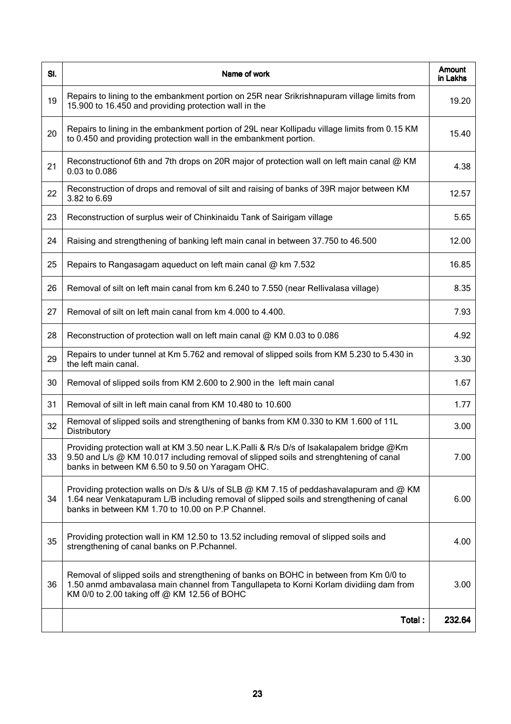| SI. | Name of work                                                                                                                                                                                                                            | Amount<br>in Lakhs |
|-----|-----------------------------------------------------------------------------------------------------------------------------------------------------------------------------------------------------------------------------------------|--------------------|
| 19  | Repairs to lining to the embankment portion on 25R near Srikrishnapuram village limits from<br>15.900 to 16.450 and providing protection wall in the                                                                                    | 19.20              |
| 20  | Repairs to lining in the embankment portion of 29L near Kollipadu village limits from 0.15 KM<br>to 0.450 and providing protection wall in the embankment portion.                                                                      | 15.40              |
| 21  | Reconstructionof 6th and 7th drops on 20R major of protection wall on left main canal @ KM<br>0.03 to 0.086                                                                                                                             | 4.38               |
| 22  | Reconstruction of drops and removal of silt and raising of banks of 39R major between KM<br>3.82 to 6.69                                                                                                                                | 12.57              |
| 23  | Reconstruction of surplus weir of Chinkinaidu Tank of Sairigam village                                                                                                                                                                  | 5.65               |
| 24  | Raising and strengthening of banking left main canal in between 37.750 to 46.500                                                                                                                                                        | 12.00              |
| 25  | Repairs to Rangasagam aqueduct on left main canal @ km 7.532                                                                                                                                                                            | 16.85              |
| 26  | Removal of silt on left main canal from km 6.240 to 7.550 (near Rellivalasa village)                                                                                                                                                    | 8.35               |
| 27  | Removal of silt on left main canal from km 4.000 to 4.400.                                                                                                                                                                              | 7.93               |
| 28  | Reconstruction of protection wall on left main canal @ KM 0.03 to 0.086                                                                                                                                                                 | 4.92               |
| 29  | Repairs to under tunnel at Km 5.762 and removal of slipped soils from KM 5.230 to 5.430 in<br>the left main canal.                                                                                                                      | 3.30               |
| 30  | Removal of slipped soils from KM 2.600 to 2.900 in the left main canal                                                                                                                                                                  | 1.67               |
| 31  | Removal of silt in left main canal from KM 10.480 to 10.600                                                                                                                                                                             | 1.77               |
| 32  | Removal of slipped soils and strengthening of banks from KM 0.330 to KM 1.600 of 11L<br>Distributory                                                                                                                                    | 3.00               |
| 33  | Providing protection wall at KM 3.50 near L.K.Palli & R/s D/s of Isakalapalem bridge @Km<br>9.50 and L/s @ KM 10.017 including removal of slipped soils and strenghtening of canal<br>banks in between KM 6.50 to 9.50 on Yaragam OHC.  | 7.00               |
| 34  | Providing protection walls on D/s & U/s of SLB @ KM 7.15 of peddashavalapuram and @ KM<br>1.64 near Venkatapuram L/B including removal of slipped soils and strengthening of canal<br>banks in between KM 1.70 to 10.00 on P.P Channel. | 6.00               |
| 35  | Providing protection wall in KM 12.50 to 13.52 including removal of slipped soils and<br>strengthening of canal banks on P.Pchannel.                                                                                                    | 4.00               |
| 36  | Removal of slipped soils and strengthening of banks on BOHC in between from Km 0/0 to<br>1.50 anmd ambavalasa main channel from Tangullapeta to Korni Korlam dividiing dam from<br>KM 0/0 to 2.00 taking off @ KM 12.56 of BOHC         | 3.00               |
|     | Total:                                                                                                                                                                                                                                  | 232.64             |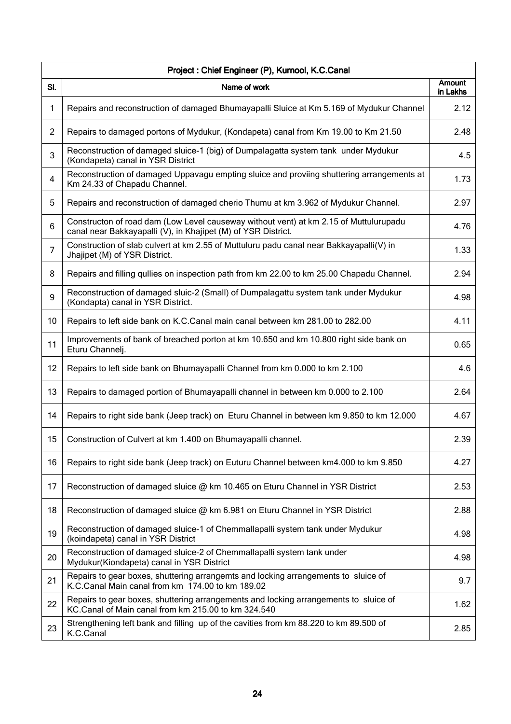| Project: Chief Engineer (P), Kurnool, K.C.Canal |                                                                                                                                                        |                    |
|-------------------------------------------------|--------------------------------------------------------------------------------------------------------------------------------------------------------|--------------------|
| SI.                                             | Name of work                                                                                                                                           | Amount<br>in Lakhs |
| $\mathbf{1}$                                    | Repairs and reconstruction of damaged Bhumayapalli Sluice at Km 5.169 of Mydukur Channel                                                               | 2.12               |
| $\overline{2}$                                  | Repairs to damaged portons of Mydukur, (Kondapeta) canal from Km 19.00 to Km 21.50                                                                     | 2.48               |
| 3                                               | Reconstruction of damaged sluice-1 (big) of Dumpalagatta system tank under Mydukur<br>(Kondapeta) canal in YSR District                                | 4.5                |
| 4                                               | Reconstruction of damaged Uppavagu empting sluice and proviing shuttering arrangements at<br>Km 24.33 of Chapadu Channel.                              | 1.73               |
| 5                                               | Repairs and reconstruction of damaged cherio Thumu at km 3.962 of Mydukur Channel.                                                                     | 2.97               |
| 6                                               | Constructon of road dam (Low Level causeway without vent) at km 2.15 of Muttulurupadu<br>canal near Bakkayapalli (V), in Khajipet (M) of YSR District. | 4.76               |
| $\overline{7}$                                  | Construction of slab culvert at km 2.55 of Muttuluru padu canal near Bakkayapalli(V) in<br>Jhajipet (M) of YSR District.                               | 1.33               |
| 8                                               | Repairs and filling quilies on inspection path from km 22.00 to km 25.00 Chapadu Channel.                                                              | 2.94               |
| 9                                               | Reconstruction of damaged sluic-2 (Small) of Dumpalagattu system tank under Mydukur<br>(Kondapta) canal in YSR District.                               | 4.98               |
| 10                                              | Repairs to left side bank on K.C.Canal main canal between km 281.00 to 282.00                                                                          | 4.11               |
| 11                                              | Improvements of bank of breached porton at km 10.650 and km 10.800 right side bank on<br>Eturu Channelj.                                               | 0.65               |
| 12                                              | Repairs to left side bank on Bhumayapalli Channel from km 0.000 to km 2.100                                                                            | 4.6                |
| 13                                              | Repairs to damaged portion of Bhumayapalli channel in between km 0.000 to 2.100                                                                        | 2.64               |
| 14                                              | Repairs to right side bank (Jeep track) on Eturu Channel in between km 9.850 to km 12.000                                                              | 4.67               |
| 15                                              | Construction of Culvert at km 1.400 on Bhumayapalli channel.                                                                                           | 2.39               |
| 16                                              | Repairs to right side bank (Jeep track) on Euturu Channel between km4.000 to km 9.850                                                                  | 4.27               |
| 17                                              | Reconstruction of damaged sluice @ km 10.465 on Eturu Channel in YSR District                                                                          | 2.53               |
| 18                                              | Reconstruction of damaged sluice @ km 6.981 on Eturu Channel in YSR District                                                                           | 2.88               |
| 19                                              | Reconstruction of damaged sluice-1 of Chemmallapalli system tank under Mydukur<br>(koindapeta) canal in YSR District                                   | 4.98               |
| 20                                              | Reconstruction of damaged sluice-2 of Chemmallapalli system tank under<br>Mydukur(Kiondapeta) canal in YSR District                                    | 4.98               |
| 21                                              | Repairs to gear boxes, shuttering arrangemts and locking arrangements to sluice of<br>K.C.Canal Main canal from km 174.00 to km 189.02                 | 9.7                |
| 22                                              | Repairs to gear boxes, shuttering arrangements and locking arrangements to sluice of<br>KC.Canal of Main canal from km 215.00 to km 324.540            | 1.62               |
| 23                                              | Strengthening left bank and filling up of the cavities from km 88.220 to km 89.500 of<br>K.C.Canal                                                     | 2.85               |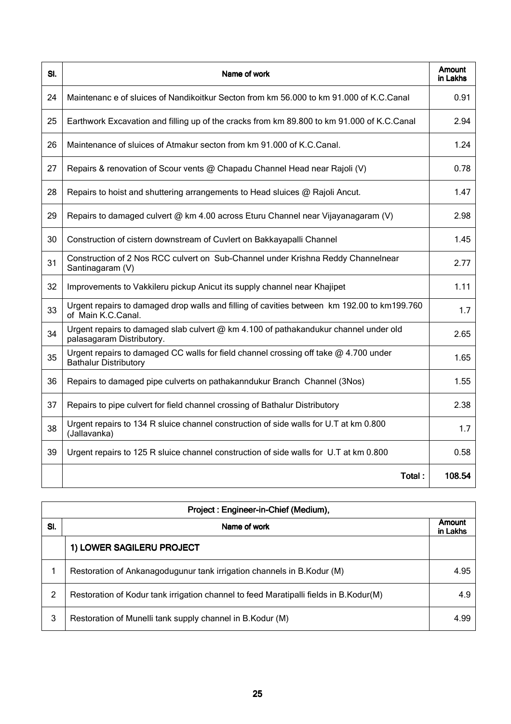| SI. | Name of work                                                                                                           | <b>Amount</b><br>in Lakhs |
|-----|------------------------------------------------------------------------------------------------------------------------|---------------------------|
| 24  | Maintenanc e of sluices of Nandikoitkur Secton from km 56.000 to km 91.000 of K.C.Canal                                | 0.91                      |
| 25  | Earthwork Excavation and filling up of the cracks from km 89.800 to km 91.000 of K.C.Canal                             | 2.94                      |
| 26  | Maintenance of sluices of Atmakur secton from km 91.000 of K.C.Canal.                                                  | 1.24                      |
| 27  | Repairs & renovation of Scour vents @ Chapadu Channel Head near Rajoli (V)                                             | 0.78                      |
| 28  | Repairs to hoist and shuttering arrangements to Head sluices @ Rajoli Ancut.                                           | 1.47                      |
| 29  | Repairs to damaged culvert @ km 4.00 across Eturu Channel near Vijayanagaram (V)                                       | 2.98                      |
| 30  | Construction of cistern downstream of Cuvlert on Bakkayapalli Channel                                                  | 1.45                      |
| 31  | Construction of 2 Nos RCC culvert on Sub-Channel under Krishna Reddy Channelnear<br>Santinagaram (V)                   | 2.77                      |
| 32  | Improvements to Vakkileru pickup Anicut its supply channel near Khajipet                                               | 1.11                      |
| 33  | Urgent repairs to damaged drop walls and filling of cavities between km 192.00 to km199.760<br>of Main K.C.Canal.      | 1.7                       |
| 34  | Urgent repairs to damaged slab culvert $@$ km 4.100 of pathakandukur channel under old<br>palasagaram Distributory.    | 2.65                      |
| 35  | Urgent repairs to damaged CC walls for field channel crossing off take $@$ 4.700 under<br><b>Bathalur Distributory</b> | 1.65                      |
| 36  | Repairs to damaged pipe culverts on pathakanndukur Branch Channel (3Nos)                                               | 1.55                      |
| 37  | Repairs to pipe culvert for field channel crossing of Bathalur Distributory                                            | 2.38                      |
| 38  | Urgent repairs to 134 R sluice channel construction of side walls for U.T at km 0.800<br>(Jallavanka)                  | 1.7                       |
| 39  | Urgent repairs to 125 R sluice channel construction of side walls for U.T at km 0.800                                  | 0.58                      |
|     | Total:                                                                                                                 | 108.54                    |

| Project: Engineer-in-Chief (Medium), |                                                                                       |                    |
|--------------------------------------|---------------------------------------------------------------------------------------|--------------------|
| SI.                                  | Name of work                                                                          | Amount<br>in Lakhs |
|                                      | 1) LOWER SAGILERU PROJECT                                                             |                    |
|                                      | Restoration of Ankanagodugunur tank irrigation channels in B.Kodur (M)                | 4.95               |
| 2                                    | Restoration of Kodur tank irrigation channel to feed Maratipalli fields in B.Kodur(M) | 4.9                |
| 3                                    | Restoration of Munelli tank supply channel in B.Kodur (M)                             | 4.99               |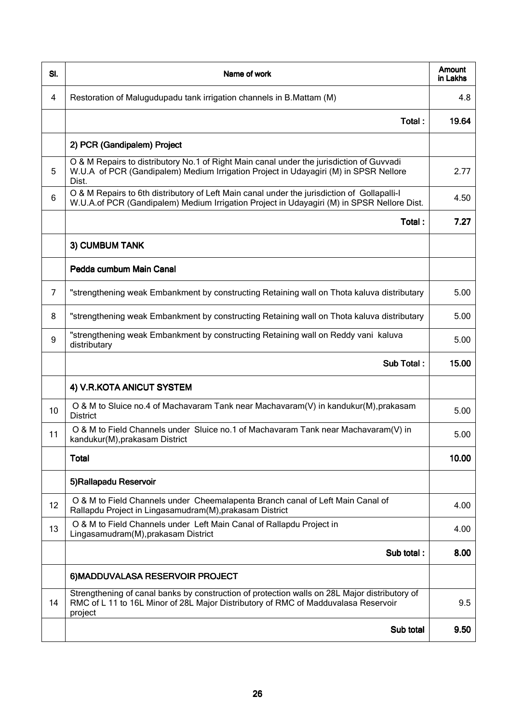| SI.            | Name of work                                                                                                                                                                                   | Amount<br>in Lakhs |
|----------------|------------------------------------------------------------------------------------------------------------------------------------------------------------------------------------------------|--------------------|
| 4              | Restoration of Malugudupadu tank irrigation channels in B.Mattam (M)                                                                                                                           | 4.8                |
|                | Total:                                                                                                                                                                                         | 19.64              |
|                | 2) PCR (Gandipalem) Project                                                                                                                                                                    |                    |
| 5              | O & M Repairs to distributory No.1 of Right Main canal under the jurisdiction of Guvvadi<br>W.U.A of PCR (Gandipalem) Medium Irrigation Project in Udayagiri (M) in SPSR Nellore<br>Dist.      | 2.77               |
| 6              | O & M Repairs to 6th distributory of Left Main canal under the jurisdiction of Gollapalli-I<br>W.U.A.of PCR (Gandipalem) Medium Irrigation Project in Udayagiri (M) in SPSR Nellore Dist.      | 4.50               |
|                | Total:                                                                                                                                                                                         | 7.27               |
|                | 3) CUMBUM TANK                                                                                                                                                                                 |                    |
|                | Pedda cumbum Main Canal                                                                                                                                                                        |                    |
| $\overline{7}$ | "strengthening weak Embankment by constructing Retaining wall on Thota kaluva distributary                                                                                                     | 5.00               |
| 8              | "strengthening weak Embankment by constructing Retaining wall on Thota kaluva distributary                                                                                                     | 5.00               |
| 9              | "strengthening weak Embankment by constructing Retaining wall on Reddy vani kaluva<br>distributary                                                                                             | 5.00               |
|                | Sub Total:                                                                                                                                                                                     | 15.00              |
|                | 4) V.R.KOTA ANICUT SYSTEM                                                                                                                                                                      |                    |
| 10             | O & M to Sluice no.4 of Machavaram Tank near Machavaram(V) in kandukur(M), prakasam<br><b>District</b>                                                                                         | 5.00               |
| 11             | O & M to Field Channels under Sluice no.1 of Machavaram Tank near Machavaram(V) in<br>kandukur(M), prakasam District                                                                           | 5.00               |
|                | <b>Total</b>                                                                                                                                                                                   | 10.00              |
|                | 5)Rallapadu Reservoir                                                                                                                                                                          |                    |
| 12             | O & M to Field Channels under Cheemalapenta Branch canal of Left Main Canal of<br>Rallapdu Project in Lingasamudram(M), prakasam District                                                      | 4.00               |
| 13             | O & M to Field Channels under Left Main Canal of Rallapdu Project in<br>Lingasamudram(M), prakasam District                                                                                    | 4.00               |
|                | Sub total:                                                                                                                                                                                     | 8.00               |
|                | 6) MADDUVALASA RESERVOIR PROJECT                                                                                                                                                               |                    |
| 14             | Strengthening of canal banks by construction of protection walls on 28L Major distributory of<br>RMC of L 11 to 16L Minor of 28L Major Distributory of RMC of Madduvalasa Reservoir<br>project | 9.5                |
|                | Sub total                                                                                                                                                                                      | 9.50               |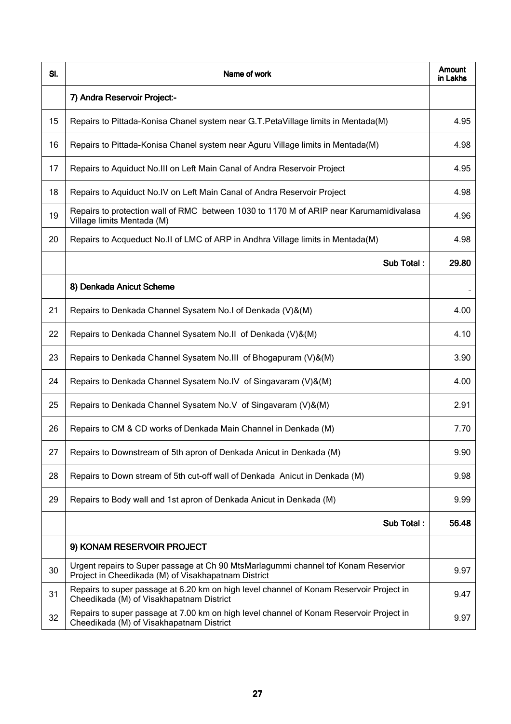| SI. | Name of work                                                                                                                              | Amount<br>in Lakhs |
|-----|-------------------------------------------------------------------------------------------------------------------------------------------|--------------------|
|     | 7) Andra Reservoir Project:-                                                                                                              |                    |
| 15  | Repairs to Pittada-Konisa Chanel system near G.T.PetaVillage limits in Mentada(M)                                                         | 4.95               |
| 16  | Repairs to Pittada-Konisa Chanel system near Aguru Village limits in Mentada(M)                                                           | 4.98               |
| 17  | Repairs to Aquiduct No. III on Left Main Canal of Andra Reservoir Project                                                                 | 4.95               |
| 18  | Repairs to Aquiduct No.IV on Left Main Canal of Andra Reservoir Project                                                                   | 4.98               |
| 19  | Repairs to protection wall of RMC between 1030 to 1170 M of ARIP near Karumamidivalasa<br>Village limits Mentada (M)                      | 4.96               |
| 20  | Repairs to Acqueduct No.II of LMC of ARP in Andhra Village limits in Mentada(M)                                                           | 4.98               |
|     | Sub Total:                                                                                                                                | 29.80              |
|     | 8) Denkada Anicut Scheme                                                                                                                  |                    |
| 21  | Repairs to Denkada Channel Sysatem No.I of Denkada (V)&(M)                                                                                | 4.00               |
| 22  | Repairs to Denkada Channel Sysatem No.II of Denkada (V)&(M)                                                                               | 4.10               |
| 23  | Repairs to Denkada Channel Sysatem No. III of Bhogapuram (V)&(M)                                                                          | 3.90               |
| 24  | Repairs to Denkada Channel Sysatem No.IV of Singavaram (V)&(M)                                                                            | 4.00               |
| 25  | Repairs to Denkada Channel Sysatem No.V of Singavaram (V)&(M)                                                                             | 2.91               |
| 26  | Repairs to CM & CD works of Denkada Main Channel in Denkada (M)                                                                           | 7.70               |
| 27  | Repairs to Downstream of 5th apron of Denkada Anicut in Denkada (M)                                                                       | 9.90               |
| 28  | Repairs to Down stream of 5th cut-off wall of Denkada Anicut in Denkada (M)                                                               | 9.98               |
| 29  | Repairs to Body wall and 1st apron of Denkada Anicut in Denkada (M)                                                                       | 9.99               |
|     | Sub Total:                                                                                                                                | 56.48              |
|     | 9) KONAM RESERVOIR PROJECT                                                                                                                |                    |
| 30  | Urgent repairs to Super passage at Ch 90 MtsMarlagummi channel tof Konam Reservior<br>Project in Cheedikada (M) of Visakhapatnam District | 9.97               |
| 31  | Repairs to super passage at 6.20 km on high level channel of Konam Reservoir Project in<br>Cheedikada (M) of Visakhapatnam District       | 9.47               |
| 32  | Repairs to super passage at 7.00 km on high level channel of Konam Reservoir Project in<br>Cheedikada (M) of Visakhapatnam District       | 9.97               |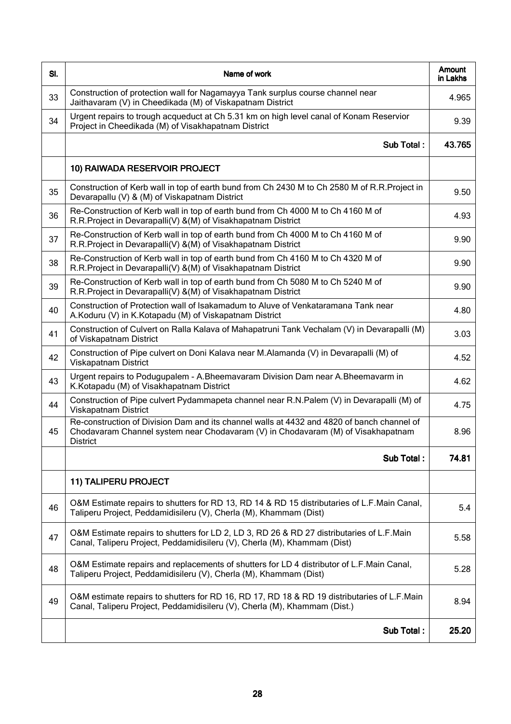| SI. | Name of work                                                                                                                                                                                      | <b>Amount</b><br>in Lakhs |
|-----|---------------------------------------------------------------------------------------------------------------------------------------------------------------------------------------------------|---------------------------|
| 33  | Construction of protection wall for Nagamayya Tank surplus course channel near<br>Jaithavaram (V) in Cheedikada (M) of Viskapatnam District                                                       | 4.965                     |
| 34  | Urgent repairs to trough acqueduct at Ch 5.31 km on high level canal of Konam Reservior<br>Project in Cheedikada (M) of Visakhapatnam District                                                    | 9.39                      |
|     | Sub Total:                                                                                                                                                                                        | 43.765                    |
|     | 10) RAIWADA RESERVOIR PROJECT                                                                                                                                                                     |                           |
| 35  | Construction of Kerb wall in top of earth bund from Ch 2430 M to Ch 2580 M of R.R.Project in<br>Devarapallu (V) & (M) of Viskapatnam District                                                     | 9.50                      |
| 36  | Re-Construction of Kerb wall in top of earth bund from Ch 4000 M to Ch 4160 M of<br>R.R.Project in Devarapalli(V) &(M) of Visakhapatnam District                                                  | 4.93                      |
| 37  | Re-Construction of Kerb wall in top of earth bund from Ch 4000 M to Ch 4160 M of<br>R.R.Project in Devarapalli(V) &(M) of Visakhapatnam District                                                  | 9.90                      |
| 38  | Re-Construction of Kerb wall in top of earth bund from Ch 4160 M to Ch 4320 M of<br>R.R.Project in Devarapalli(V) &(M) of Visakhapatnam District                                                  | 9.90                      |
| 39  | Re-Construction of Kerb wall in top of earth bund from Ch 5080 M to Ch 5240 M of<br>R.R.Project in Devarapalli(V) &(M) of Visakhapatnam District                                                  | 9.90                      |
| 40  | Construction of Protection wall of Isakamadum to Aluve of Venkataramana Tank near<br>A.Koduru (V) in K.Kotapadu (M) of Viskapatnam District                                                       | 4.80                      |
| 41  | Construction of Culvert on Ralla Kalava of Mahapatruni Tank Vechalam (V) in Devarapalli (M)<br>of Viskapatnam District                                                                            | 3.03                      |
| 42  | Construction of Pipe culvert on Doni Kalava near M.Alamanda (V) in Devarapalli (M) of<br>Viskapatnam District                                                                                     | 4.52                      |
| 43  | Urgent repairs to Podugupalem - A.Bheemavaram Division Dam near A.Bheemavarm in<br>K.Kotapadu (M) of Visakhapatnam District                                                                       | 4.62                      |
| 44  | Construction of Pipe culvert Pydammapeta channel near R.N.Palem (V) in Devarapalli (M) of<br>Viskapatnam District                                                                                 | 4.75                      |
| 45  | Re-construction of Division Dam and its channel walls at 4432 and 4820 of banch channel of<br>Chodavaram Channel system near Chodavaram (V) in Chodavaram (M) of Visakhapatnam<br><b>District</b> | 8.96                      |
|     | Sub Total:                                                                                                                                                                                        | 74.81                     |
|     | 11) TALIPERU PROJECT                                                                                                                                                                              |                           |
| 46  | O&M Estimate repairs to shutters for RD 13, RD 14 & RD 15 distributaries of L.F.Main Canal,<br>Taliperu Project, Peddamidisileru (V), Cherla (M), Khammam (Dist)                                  | 5.4                       |
| 47  | O&M Estimate repairs to shutters for LD 2, LD 3, RD 26 & RD 27 distributaries of L.F.Main<br>Canal, Taliperu Project, Peddamidisileru (V), Cherla (M), Khammam (Dist)                             | 5.58                      |
| 48  | O&M Estimate repairs and replacements of shutters for LD 4 distributor of L.F.Main Canal,<br>Taliperu Project, Peddamidisileru (V), Cherla (M), Khammam (Dist)                                    | 5.28                      |
| 49  | O&M estimate repairs to shutters for RD 16, RD 17, RD 18 & RD 19 distributaries of L.F.Main<br>Canal, Taliperu Project, Peddamidisileru (V), Cherla (M), Khammam (Dist.)                          | 8.94                      |
|     | Sub Total:                                                                                                                                                                                        | 25.20                     |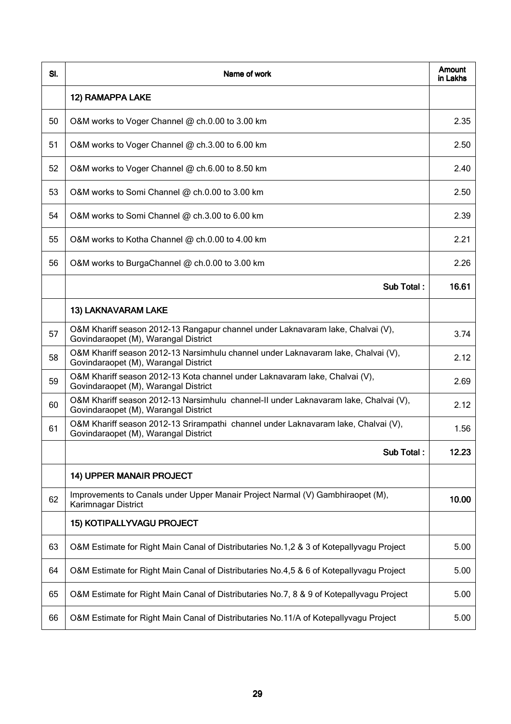| SI. | Name of work                                                                                                                 | Amount<br>in Lakhs |
|-----|------------------------------------------------------------------------------------------------------------------------------|--------------------|
|     | 12) RAMAPPA LAKE                                                                                                             |                    |
| 50  | O&M works to Voger Channel @ ch.0.00 to 3.00 km                                                                              | 2.35               |
| 51  | O&M works to Voger Channel @ ch.3.00 to 6.00 km                                                                              | 2.50               |
| 52  | O&M works to Voger Channel @ ch.6.00 to 8.50 km                                                                              | 2.40               |
| 53  | O&M works to Somi Channel @ ch.0.00 to 3.00 km                                                                               | 2.50               |
| 54  | O&M works to Somi Channel @ ch.3.00 to 6.00 km                                                                               | 2.39               |
| 55  | O&M works to Kotha Channel @ ch.0.00 to 4.00 km                                                                              | 2.21               |
| 56  | O&M works to BurgaChannel @ ch.0.00 to 3.00 km                                                                               | 2.26               |
|     | Sub Total:                                                                                                                   | 16.61              |
|     | 13) LAKNAVARAM LAKE                                                                                                          |                    |
| 57  | O&M Khariff season 2012-13 Rangapur channel under Laknavaram lake, Chalvai (V),<br>Govindaraopet (M), Warangal District      | 3.74               |
| 58  | O&M Khariff season 2012-13 Narsimhulu channel under Laknavaram lake, Chalvai (V),<br>Govindaraopet (M), Warangal District    | 2.12               |
| 59  | O&M Khariff season 2012-13 Kota channel under Laknavaram lake, Chalvai (V),<br>Govindaraopet (M), Warangal District          | 2.69               |
| 60  | O&M Khariff season 2012-13 Narsimhulu channel-II under Laknavaram lake, Chalvai (V),<br>Govindaraopet (M), Warangal District | 2.12               |
| 61  | O&M Khariff season 2012-13 Srirampathi channel under Laknavaram lake, Chalvai (V),<br>Govindaraopet (M), Warangal District   | 1.56               |
|     | Sub Total:                                                                                                                   | 12.23              |
|     | 14) UPPER MANAIR PROJECT                                                                                                     |                    |
| 62  | Improvements to Canals under Upper Manair Project Narmal (V) Gambhiraopet (M),<br>Karimnagar District                        | 10.00              |
|     | 15) KOTIPALLYVAGU PROJECT                                                                                                    |                    |
| 63  | O&M Estimate for Right Main Canal of Distributaries No.1,2 & 3 of Kotepallyvagu Project                                      | 5.00               |
| 64  | O&M Estimate for Right Main Canal of Distributaries No.4,5 & 6 of Kotepallyvagu Project                                      | 5.00               |
| 65  | O&M Estimate for Right Main Canal of Distributaries No.7, 8 & 9 of Kotepallyvagu Project                                     | 5.00               |
| 66  | O&M Estimate for Right Main Canal of Distributaries No.11/A of Kotepallyvagu Project                                         | 5.00               |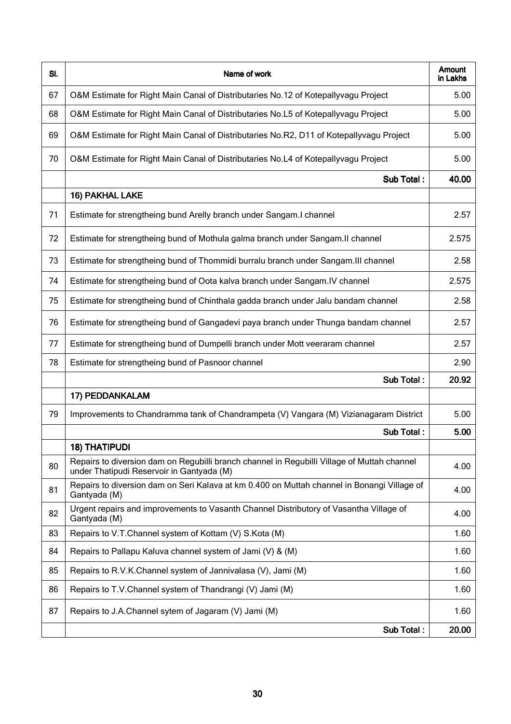| SI. | Name of work                                                                                                                             | Amount<br>in Lakhs |
|-----|------------------------------------------------------------------------------------------------------------------------------------------|--------------------|
| 67  | O&M Estimate for Right Main Canal of Distributaries No.12 of Kotepallyvagu Project                                                       | 5.00               |
| 68  | O&M Estimate for Right Main Canal of Distributaries No.L5 of Kotepallyvagu Project                                                       | 5.00               |
| 69  | O&M Estimate for Right Main Canal of Distributaries No.R2, D11 of Kotepallyvagu Project                                                  | 5.00               |
| 70  | O&M Estimate for Right Main Canal of Distributaries No.L4 of Kotepallyvagu Project                                                       | 5.00               |
|     | Sub Total:                                                                                                                               | 40.00              |
|     | 16) PAKHAL LAKE                                                                                                                          |                    |
| 71  | Estimate for strengtheing bund Arelly branch under Sangam.I channel                                                                      | 2.57               |
| 72  | Estimate for strengtheing bund of Mothula galma branch under Sangam. Il channel                                                          | 2.575              |
| 73  | Estimate for strengtheing bund of Thommidi burralu branch under Sangam. III channel                                                      | 2.58               |
| 74  | Estimate for strengtheing bund of Oota kalva branch under Sangam. IV channel                                                             | 2.575              |
| 75  | Estimate for strengtheing bund of Chinthala gadda branch under Jalu bandam channel                                                       | 2.58               |
| 76  | Estimate for strengtheing bund of Gangadevi paya branch under Thunga bandam channel                                                      | 2.57               |
| 77  | Estimate for strengtheing bund of Dumpelli branch under Mott veeraram channel                                                            | 2.57               |
| 78  | Estimate for strengtheing bund of Pasnoor channel                                                                                        | 2.90               |
|     | Sub Total:                                                                                                                               | 20.92              |
|     | 17) PEDDANKALAM                                                                                                                          |                    |
| 79  | Improvements to Chandramma tank of Chandrampeta (V) Vangara (M) Vizianagaram District                                                    | 5.00               |
|     | Sub Total:                                                                                                                               | 5.00               |
|     | <b>18) THATIPUDI</b>                                                                                                                     |                    |
| 80  | Repairs to diversion dam on Regubilli branch channel in Regubilli Village of Muttah channel<br>under Thatipudi Reservoir in Gantyada (M) | 4.00               |
| 81  | Repairs to diversion dam on Seri Kalava at km 0.400 on Muttah channel in Bonangi Village of<br>Gantyada (M)                              | 4.00               |
| 82  | Urgent repairs and improvements to Vasanth Channel Distributory of Vasantha Village of<br>Gantyada (M)                                   | 4.00               |
| 83  | Repairs to V.T.Channel system of Kottam (V) S.Kota (M)                                                                                   | 1.60               |
| 84  | Repairs to Pallapu Kaluva channel system of Jami (V) & (M)                                                                               | 1.60               |
| 85  | Repairs to R.V.K.Channel system of Jannivalasa (V), Jami (M)                                                                             | 1.60               |
| 86  | Repairs to T.V.Channel system of Thandrangi (V) Jami (M)                                                                                 | 1.60               |
| 87  | Repairs to J.A.Channel sytem of Jagaram (V) Jami (M)                                                                                     | 1.60               |
|     | Sub Total:                                                                                                                               | 20.00              |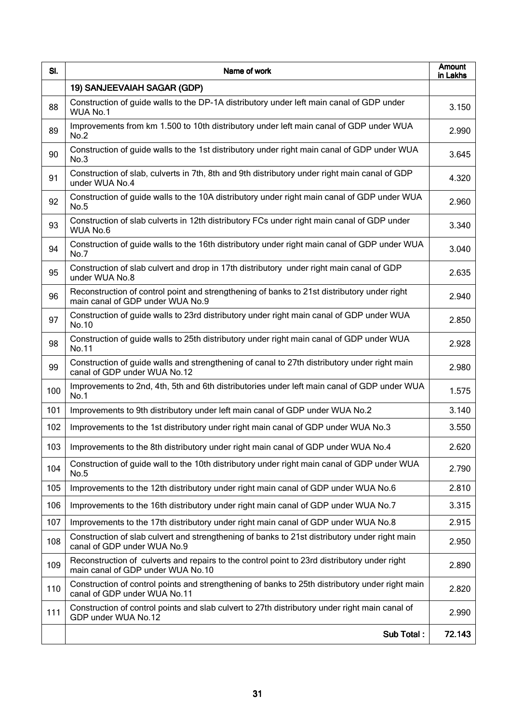| SI. | Name of work                                                                                                                      | Amount<br>in Lakhs |
|-----|-----------------------------------------------------------------------------------------------------------------------------------|--------------------|
|     | 19) SANJEEVAIAH SAGAR (GDP)                                                                                                       |                    |
| 88  | Construction of guide walls to the DP-1A distributory under left main canal of GDP under<br>WUA No.1                              | 3.150              |
| 89  | Improvements from km 1.500 to 10th distributory under left main canal of GDP under WUA<br>No.2                                    | 2.990              |
| 90  | Construction of guide walls to the 1st distributory under right main canal of GDP under WUA<br>No.3                               | 3.645              |
| 91  | Construction of slab, culverts in 7th, 8th and 9th distributory under right main canal of GDP<br>under WUA No.4                   | 4.320              |
| 92  | Construction of guide walls to the 10A distributory under right main canal of GDP under WUA<br>No.5                               | 2.960              |
| 93  | Construction of slab culverts in 12th distributory FCs under right main canal of GDP under<br>WUA No.6                            | 3.340              |
| 94  | Construction of guide walls to the 16th distributory under right main canal of GDP under WUA<br>No.7                              | 3.040              |
| 95  | Construction of slab culvert and drop in 17th distributory under right main canal of GDP<br>under WUA No.8                        | 2.635              |
| 96  | Reconstruction of control point and strengthening of banks to 21st distributory under right<br>main canal of GDP under WUA No.9   | 2.940              |
| 97  | Construction of guide walls to 23rd distributory under right main canal of GDP under WUA<br>No.10                                 | 2.850              |
| 98  | Construction of guide walls to 25th distributory under right main canal of GDP under WUA<br>No.11                                 | 2.928              |
| 99  | Construction of guide walls and strengthening of canal to 27th distributory under right main<br>canal of GDP under WUA No.12      | 2.980              |
| 100 | Improvements to 2nd, 4th, 5th and 6th distributories under left main canal of GDP under WUA<br>No.1                               | 1.575              |
| 101 | Improvements to 9th distributory under left main canal of GDP under WUA No.2                                                      | 3.140              |
| 102 | Improvements to the 1st distributory under right main canal of GDP under WUA No.3                                                 | 3.550              |
| 103 | Improvements to the 8th distributory under right main canal of GDP under WUA No.4                                                 | 2.620              |
| 104 | Construction of guide wall to the 10th distributory under right main canal of GDP under WUA<br>No.5                               | 2.790              |
| 105 | Improvements to the 12th distributory under right main canal of GDP under WUA No.6                                                | 2.810              |
| 106 | Improvements to the 16th distributory under right main canal of GDP under WUA No.7                                                | 3.315              |
| 107 | Improvements to the 17th distributory under right main canal of GDP under WUA No.8                                                | 2.915              |
| 108 | Construction of slab culvert and strengthening of banks to 21st distributory under right main<br>canal of GDP under WUA No.9      | 2.950              |
| 109 | Reconstruction of culverts and repairs to the control point to 23rd distributory under right<br>main canal of GDP under WUA No.10 | 2.890              |
| 110 | Construction of control points and strengthening of banks to 25th distributory under right main<br>canal of GDP under WUA No.11   | 2.820              |
| 111 | Construction of control points and slab culvert to 27th distributory under right main canal of<br>GDP under WUA No.12             | 2.990              |
|     | Sub Total:                                                                                                                        | 72.143             |